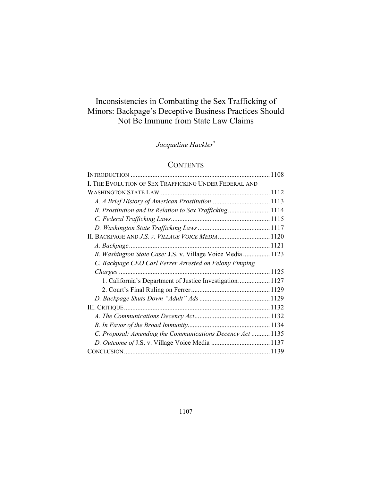# Inconsistencies in Combatting the Sex Trafficking of Minors: Backpage's Deceptive Business Practices Should Not Be Immune from State Law Claims

*Jacqueline Hackler*\*

## **CONTENTS**

| I. THE EVOLUTION OF SEX TRAFFICKING UNDER FEDERAL AND       |  |
|-------------------------------------------------------------|--|
|                                                             |  |
|                                                             |  |
| B. Prostitution and its Relation to Sex Trafficking1114     |  |
|                                                             |  |
|                                                             |  |
|                                                             |  |
|                                                             |  |
| B. Washington State Case: J.S. v. Village Voice Media  1123 |  |
| C. Backpage CEO Carl Ferrer Arrested on Felony Pimping      |  |
|                                                             |  |
| 1. California's Department of Justice Investigation 1127    |  |
|                                                             |  |
|                                                             |  |
|                                                             |  |
|                                                             |  |
|                                                             |  |
| C. Proposal: Amending the Communications Decency Act  1135  |  |
|                                                             |  |
|                                                             |  |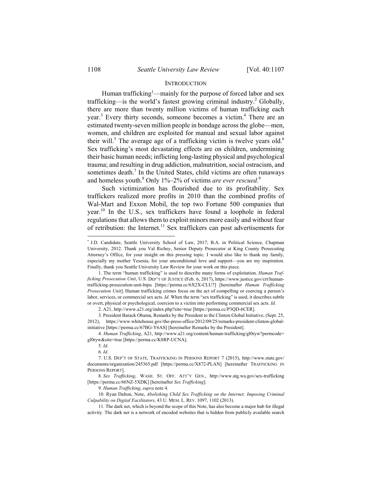#### **INTRODUCTION**

Human trafficking<sup>1</sup>—mainly for the purpose of forced labor and sex trafficking—is the world's fastest growing criminal industry.<sup>2</sup> Globally, there are more than twenty million victims of human trafficking each year.<sup>3</sup> Every thirty seconds, someone becomes a victim.<sup>4</sup> There are an estimated twenty-seven million people in bondage across the globe—men, women, and children are exploited for manual and sexual labor against their will.<sup>5</sup> The average age of a trafficking victim is twelve years old.<sup>6</sup> Sex trafficking's most devastating effects are on children, undermining their basic human needs; inflicting long-lasting physical and psychological trauma; and resulting in drug addiction, malnutrition, social ostracism, and sometimes death.<sup>7</sup> In the United States, child victims are often runaways and homeless youth.<sup>8</sup> Only 1%–2% of victims *are ever rescued*.<sup>9</sup>

Such victimization has flourished due to its profitability. Sex traffickers realized more profits in 2010 than the combined profits of Wal-Mart and Exxon Mobil, the top two Fortune 500 companies that year.10 In the U.S., sex traffickers have found a loophole in federal regulations that allows them to exploit minors more easily and without fear of retribution: the Internet.<sup>11</sup> Sex traffickers can post advertisements for

5*. Id.*

<sup>\*</sup> J.D. Candidate, Seattle University School of Law, 2017; B.A. in Political Science, Chapman University, 2012. Thank you Val Richey, Senior Deputy Prosecutor at King County Prosecuting Attorney's Office, for your insight on this pressing topic. I would also like to thank my family, especially my mother Yesenia, for your unconditional love and support—you are my inspiration. Finally, thank you Seattle University Law Review for your work on this piece.

 <sup>1.</sup> The term "human trafficking" is used to describe many forms of exploitation. *Human Trafficking Prosecution Unit*, U.S. DEP'T OF JUSTICE (Feb. 6, 2017), https://www.justice.gov/crt/humantrafficking-prosecution-unit-htpu [https://perma.cc/6X2X-CLU7] [hereinafter *Human Trafficking Prosecution Unit*]. Human trafficking crimes focus on the act of compelling or coercing a person's labor, services, or commercial sex acts. *Id.* When the term "sex trafficking" is used, it describes subtle or overt, physical or psychological, coercion to a victim into performing commercial sex acts. *Id.*

 <sup>2.</sup> A21, http://www.a21.org/index.php?site=true [https://perma.cc/P3QD-6CER].

<sup>3</sup>*.* President Barack Obama, Remarks by the President to the Clinton Global Initiative, (Sept. 25, 2012), https://www.whitehouse.gov/the-press-office/2012/09/25/remarks-president-clinton-globalinitiative [https://perma.cc/67BG-Y6AS] [hereinafter Remarks by the President].

<sup>4</sup>*. Human Trafficking*, A21, http://www.a21.org/content/human-trafficking/gl0ryw?permcode= gl0ryw&site=true [https://perma.cc/K8RP-UCNA].

<sup>6</sup>*. Id.*

 <sup>7.</sup> U.S. DEP'T OF STATE, TRAFFICKING IN PERSONS REPORT 7 (2015), http://www.state.gov/ documents/organization/245365.pdf [https://perma.cc/X872-PLAN] [hereinafter TRAFFICKING IN PERSONS REPORT].

<sup>8</sup>*. Sex Trafficking*, WASH. ST. OFF. ATT'Y GEN., http://www.atg.wa.gov/sex-trafficking [https://perma.cc/66NZ-5XDK] [hereinafter *Sex Trafficking*].

<sup>9</sup>*. Human Trafficking*, *supra* note 4.

 <sup>10.</sup> Ryan Dalton, Note, *Abolishing Child Sex Trafficking on the Internet: Imposing Criminal Culpability on Digital Facilitators*, 43 U. MEM. L. REV. 1097, 1102 (2013).

 <sup>11.</sup> The dark net, which is beyond the scope of this Note, has also become a major hub for illegal activity. The dark net is a network of encoded websites that is hidden from publicly available search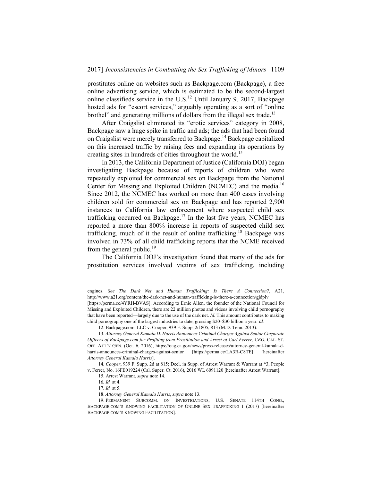prostitutes online on websites such as Backpage.com (Backpage), a free online advertising service, which is estimated to be the second-largest online classifieds service in the U.S.12 Until January 9, 2017, Backpage hosted ads for "escort services," arguably operating as a sort of "online brothel" and generating millions of dollars from the illegal sex trade.<sup>13</sup>

After Craigslist eliminated its "erotic services" category in 2008, Backpage saw a huge spike in traffic and ads; the ads that had been found on Craigslist were merely transferred to Backpage.14 Backpage capitalized on this increased traffic by raising fees and expanding its operations by creating sites in hundreds of cities throughout the world.<sup>15</sup>

In 2013, the California Department of Justice (California DOJ) began investigating Backpage because of reports of children who were repeatedly exploited for commercial sex on Backpage from the National Center for Missing and Exploited Children (NCMEC) and the media.<sup>16</sup> Since 2012, the NCMEC has worked on more than 400 cases involving children sold for commercial sex on Backpage and has reported 2,900 instances to California law enforcement where suspected child sex trafficking occurred on Backpage.<sup>17</sup> In the last five years, NCMEC has reported a more than 800% increase in reports of suspected child sex trafficking, much of it the result of online trafficking.<sup>18</sup> Backpage was involved in 73% of all child trafficking reports that the NCME received from the general public.<sup>19</sup>

The California DOJ's investigation found that many of the ads for prostitution services involved victims of sex trafficking, including

engines. *See The Dark Net and Human Trafficking: Is There A Connection?*, A21, http://www.a21.org/content/the-dark-net-and-human-trafficking-is-there-a-connection/gjdplv [https://perma.cc/4YRH-BVAS]. According to Ernie Allen, the founder of the National Council for Missing and Exploited Children, there are 22 million photos and videos involving child pornography that have been reported—largely due to the use of the dark net. *Id.* This amount contributes to making child pornography one of the largest industries to date, grossing \$20–\$30 billion a year. *Id.*

 <sup>12.</sup> Backpage.com, LLC v. Cooper, 939 F. Supp. 2d 805, 813 (M.D. Tenn. 2013).

<sup>13</sup>*. Attorney General Kamala D. Harris Announces Criminal Charges Against Senior Corporate Officers of Backpage.com for Profiting from Prostitution and Arrest of Carl Ferrer, CEO*, CAL. ST. OFF. ATT'Y GEN. (Oct. 6, 2016), https://oag.ca.gov/news/press-releases/attorney-general-kamala-dharris-announces-criminal-charges-against-senior [https://perma.cc/LA3R-C8TE] [hereinafter *Attorney General Kamala Harris*].

<sup>14</sup>*. Cooper*, 939 F. Supp. 2d at 815; Decl. in Supp. of Arrest Warrant & Warrant at \*3, People v. Ferrer, No. 16FE019224 (Cal. Super. Ct. 2016), 2016 WL 6091120 [hereinafter Arrest Warrant].

 <sup>15.</sup> Arrest Warrant, *supra* note 14.

<sup>16</sup>*. Id.* at 4.

<sup>17</sup>*. Id.* at 5.

 <sup>18.</sup> *Attorney General Kamala Harris*, *supra* note 13.

 <sup>19.</sup> PERMANENT SUBCOMM. ON INVESTIGATIONS, U.S. SENATE 114TH CONG., BACKPAGE.COM'S KNOWING FACILITATION OF ONLINE SEX TRAFFICKING 1 (2017) [hereinafter BACKPAGE.COM'S KNOWING FACILITATION].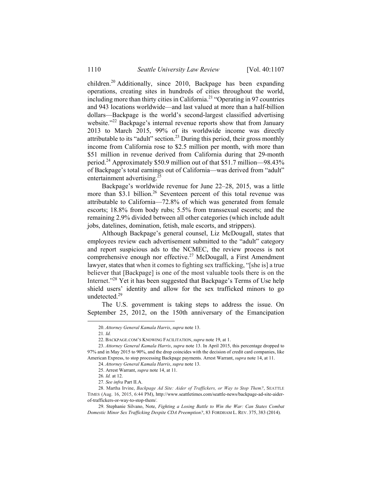children.20 Additionally, since 2010, Backpage has been expanding operations, creating sites in hundreds of cities throughout the world, including more than thirty cities in California.<sup>21</sup> "Operating in 97 countries and 943 locations worldwide—and last valued at more than a half-billion dollars—Backpage is the world's second-largest classified advertising website."<sup>22</sup> Backpage's internal revenue reports show that from January 2013 to March 2015, 99% of its worldwide income was directly attributable to its "adult" section.<sup>23</sup> During this period, their gross monthly income from California rose to \$2.5 million per month, with more than \$51 million in revenue derived from California during that 29-month period.24 Approximately \$50.9 million out of that \$51.7 million—98.43% of Backpage's total earnings out of California—was derived from "adult" entertainment advertising.<sup>25</sup>

Backpage's worldwide revenue for June 22–28, 2015, was a little more than \$3.1 billion.<sup>26</sup> Seventeen percent of this total revenue was attributable to California—72.8% of which was generated from female escorts; 18.8% from body rubs; 5.5% from transsexual escorts; and the remaining 2.9% divided between all other categories (which include adult jobs, datelines, domination, fetish, male escorts, and strippers).

Although Backpage's general counsel, Liz McDougall, states that employees review each advertisement submitted to the "adult" category and report suspicious ads to the NCMEC, the review process is not comprehensive enough nor effective.<sup>27</sup> McDougall, a First Amendment lawyer, states that when it comes to fighting sex trafficking, "[she is] a true believer that [Backpage] is one of the most valuable tools there is on the Internet."28 Yet it has been suggested that Backpage's Terms of Use help shield users' identity and allow for the sex trafficked minors to go undetected.<sup>29</sup>

The U.S. government is taking steps to address the issue. On September 25, 2012, on the 150th anniversary of the Emancipation

 <sup>20.</sup> *Attorney General Kamala Harris*, *supra* note 13.

<sup>21</sup>*. Id.*

 <sup>22.</sup> BACKPAGE.COM'S KNOWING FACILITATION, *supra* note 19, at 1.

 <sup>23.</sup> *Attorney General Kamala Harris*, *supra* note 13. In April 2015, this percentage dropped to 97% and in May 2015 to 90%, and the drop coincides with the decision of credit card companies, like American Express, to stop processing Backpage payments. Arrest Warrant, *supra* note 14, at 11.

 <sup>24.</sup> *Attorney General Kamala Harris*, *supra* note 13.

 <sup>25.</sup> Arrest Warrant, *supra* note 14, at 11.

<sup>26</sup>*. Id.* at 12.

<sup>27</sup>*. See infra* Part II.A.

<sup>28.</sup> Martha Irvine, *Backpage Ad Site: Aider of Traffickers, or Way to Stop Them?*, SEATTLE TIMES (Aug. 16, 2015, 6:44 PM), http://www.seattletimes.com/seattle-news/backpage-ad-site-aiderof-traffickers-or-way-to-stop-them/.

 <sup>29.</sup> Stephanie Silvano, Note, *Fighting a Losing Battle to Win the War: Can States Combat Domestic Minor Sex Trafficking Despite CDA Preemption?*, 83 FORDHAM L. REV. 375, 383 (2014).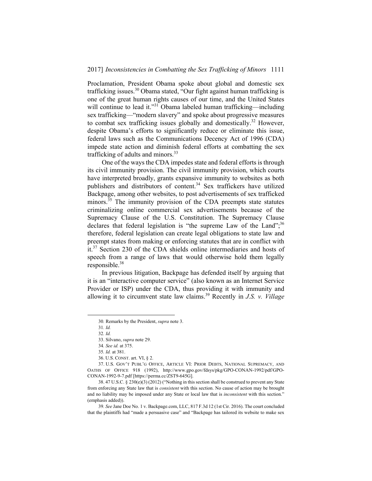Proclamation, President Obama spoke about global and domestic sex trafficking issues.<sup>30</sup> Obama stated, "Our fight against human trafficking is one of the great human rights causes of our time, and the United States will continue to lead it."<sup>31</sup> Obama labeled human trafficking—including sex trafficking—"modern slavery" and spoke about progressive measures to combat sex trafficking issues globally and domestically.32 However, despite Obama's efforts to significantly reduce or eliminate this issue, federal laws such as the Communications Decency Act of 1996 (CDA) impede state action and diminish federal efforts at combatting the sex trafficking of adults and minors.<sup>33</sup>

One of the ways the CDA impedes state and federal efforts is through its civil immunity provision. The civil immunity provision, which courts have interpreted broadly, grants expansive immunity to websites as both publishers and distributors of content.<sup>34</sup> Sex traffickers have utilized Backpage, among other websites, to post advertisements of sex trafficked minors.<sup>35</sup> The immunity provision of the CDA preempts state statutes criminalizing online commercial sex advertisements because of the Supremacy Clause of the U.S. Constitution. The Supremacy Clause declares that federal legislation is "the supreme Law of the Land"; $36$ therefore, federal legislation can create legal obligations to state law and preempt states from making or enforcing statutes that are in conflict with it.37 Section 230 of the CDA shields online intermediaries and hosts of speech from a range of laws that would otherwise hold them legally responsible.<sup>38</sup>

In previous litigation, Backpage has defended itself by arguing that it is an "interactive computer service" (also known as an Internet Service Provider or ISP) under the CDA, thus providing it with immunity and allowing it to circumvent state law claims.39 Recently in *J.S. v. Village* 

 <sup>30</sup>*.* Remarks by the President, *supra* note 3.

<sup>31</sup>*. Id.* 

<sup>32</sup>*. Id.* 

 <sup>33.</sup> Silvano, *supra* note 29.

<sup>34</sup>*. See id.* at 375.

<sup>35</sup>*. Id.* at 381.

 <sup>36.</sup> U.S. CONST. art. VI, § 2.

 <sup>37.</sup> U.S. GOV'T PUBL'G OFFICE, ARTICLE VI: PRIOR DEBTS, NATIONAL SUPREMACY, AND OATHS OF OFFICE 918 (1992), http://www.gpo.gov/fdsys/pkg/GPO-CONAN-1992/pdf/GPO-CONAN-1992-9-7.pdf [https://perma.cc/ZST9-645G].

 <sup>38. 47</sup> U.S.C. § 230(e)(3) (2012) ("Nothing in this section shall be construed to prevent any State from enforcing any State law that is *consistent* with this section. No cause of action may be brought and no liability may be imposed under any State or local law that is *inconsistent* with this section." (emphasis added)).

<sup>39</sup>*. See* Jane Doe No. 1 v. Backpage.com, LLC, 817 F.3d 12 (1st Cir. 2016). The court concluded that the plaintiffs had "made a persuasive case" and "Backpage has tailored its website to make sex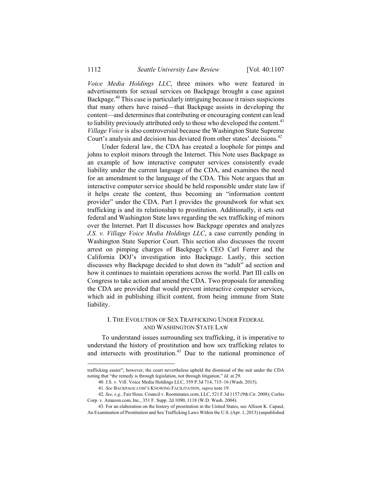*Voice Media Holdings LLC*, three minors who were featured in advertisements for sexual services on Backpage brought a case against Backpage.40 This case is particularly intriguing because it raises suspicions that many others have raised—that Backpage assists in developing the content—and determines that contributing or encouraging content can lead to liability previously attributed only to those who developed the content.<sup>41</sup> *Village Voice* is also controversial because the Washington State Supreme Court's analysis and decision has deviated from other states' decisions.<sup>42</sup>

Under federal law, the CDA has created a loophole for pimps and johns to exploit minors through the Internet. This Note uses Backpage as an example of how interactive computer services consistently evade liability under the current language of the CDA, and examines the need for an amendment to the language of the CDA. This Note argues that an interactive computer service should be held responsible under state law if it helps create the content, thus becoming an "information content provider" under the CDA. Part I provides the groundwork for what sex trafficking is and its relationship to prostitution. Additionally, it sets out federal and Washington State laws regarding the sex trafficking of minors over the Internet. Part II discusses how Backpage operates and analyzes *J.S. v. Village Voice Media Holdings LLC*, a case currently pending in Washington State Superior Court. This section also discusses the recent arrest on pimping charges of Backpage's CEO Carl Ferrer and the California DOJ's investigation into Backpage. Lastly, this section discusses why Backpage decided to shut down its "adult" ad section and how it continues to maintain operations across the world. Part III calls on Congress to take action and amend the CDA. Two proposals for amending the CDA are provided that would prevent interactive computer services, which aid in publishing illicit content, from being immune from State liability.

## I. THE EVOLUTION OF SEX TRAFFICKING UNDER FEDERAL AND WASHINGTON STATE LAW

To understand issues surrounding sex trafficking, it is imperative to understand the history of prostitution and how sex trafficking relates to and intersects with prostitution.<sup>43</sup> Due to the national prominence of

trafficking easier"; however, the court nevertheless upheld the dismissal of the suit under the CDA noting that "the remedy is through legislation, not through litigation." *Id.* at 29.

 <sup>40.</sup> J.S. v. Vill. Voice Media Holdings LLC, 359 P.3d 714, 715–16 (Wash. 2015).

<sup>41</sup>*. See* BACKPAGE.COM'S KNOWING FACILITATION, *supra* note 19.

<sup>42</sup>*. See, e.g.*, Fair Hous. Council v. Roommates.com, LLC, 521 F.3d 1157 (9th Cir. 2008); Corbis Corp. v. Amazon.com, Inc., 351 F. Supp. 2d 1090, 1118 (W.D. Wash. 2004).

 <sup>43.</sup> For an elaboration on the history of prostitution in the United States, see Allison K. Capaul, An Examination of Prostitution and Sex Trafficking Laws Within the U.S. (Apr. 1, 2013) (unpublished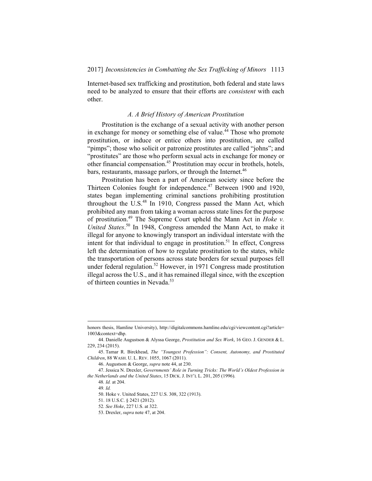Internet-based sex trafficking and prostitution, both federal and state laws need to be analyzed to ensure that their efforts are *consistent* with each other.

## *A. A Brief History of American Prostitution*

Prostitution is the exchange of a sexual activity with another person in exchange for money or something else of value.<sup>44</sup> Those who promote prostitution, or induce or entice others into prostitution, are called "pimps"; those who solicit or patronize prostitutes are called "johns"; and "prostitutes" are those who perform sexual acts in exchange for money or other financial compensation.45 Prostitution may occur in brothels, hotels, bars, restaurants, massage parlors, or through the Internet.<sup>46</sup>

Prostitution has been a part of American society since before the Thirteen Colonies fought for independence.<sup>47</sup> Between 1900 and 1920, states began implementing criminal sanctions prohibiting prostitution throughout the U.S. $48$  In 1910, Congress passed the Mann Act, which prohibited any man from taking a woman across state lines for the purpose of prostitution.49 The Supreme Court upheld the Mann Act in *Hoke v. United States*. 50 In 1948, Congress amended the Mann Act, to make it illegal for anyone to knowingly transport an individual interstate with the intent for that individual to engage in prostitution.<sup>51</sup> In effect, Congress left the determination of how to regulate prostitution to the states, while the transportation of persons across state borders for sexual purposes fell under federal regulation.<sup>52</sup> However, in 1971 Congress made prostitution illegal across the U.S., and it has remained illegal since, with the exception of thirteen counties in Nevada.<sup>53</sup>

honors thesis, Hamline University), http://digitalcommons.hamline.edu/cgi/viewcontent.cgi?article= 1003&context=dhp.

 <sup>44.</sup> Danielle Augustson & Alyssa George, *Prostitution and Sex Work*, 16 GEO. J. GENDER & L. 229, 234 (2015).

 <sup>45.</sup> Tamar R. Birckhead, *The "Youngest Profession": Consent, Autonomy, and Prostituted Children*, 88 WASH. U. L. REV. 1055, 1067 (2011).

 <sup>46.</sup> Augustson & George, *supra* note 44, at 230.

 <sup>47.</sup> Jessica N. Drexler, *Governments' Role in Turning Tricks: The World's Oldest Profession in the Netherlands and the United States*, 15 DICK. J. INT'L L. 201, 205 (1996).

<sup>48</sup>*. Id.* at 204.

<sup>49</sup>*. Id.*

 <sup>50.</sup> Hoke v. United States, 227 U.S. 308, 322 (1913).

 <sup>51. 18</sup> U.S.C. § 2421 (2012).

<sup>52</sup>*. See Hoke*, 227 U.S. at 322.

 <sup>53.</sup> Drexler, *supra* note 47, at 204.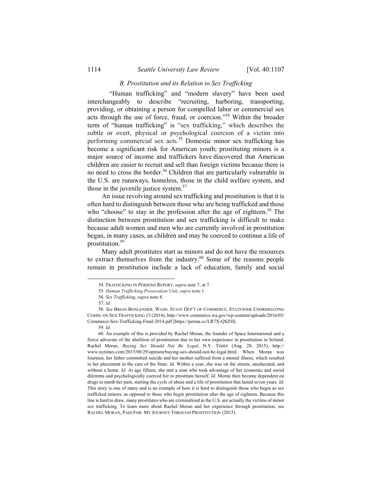## *B. Prostitution and its Relation to Sex Trafficking*

 "Human trafficking" and "modern slavery" have been used interchangeably to describe "recruiting, harboring, transporting, providing, or obtaining a person for compelled labor or commercial sex acts through the use of force, fraud, or coercion."54 Within the broader term of "human trafficking" is "sex trafficking," which describes the subtle or overt, physical or psychological coercion of a victim into performing commercial sex acts.<sup>55</sup> Domestic minor sex trafficking has become a significant risk for American youth; prostituting minors is a major source of income and traffickers have discovered that American children are easier to recruit and sell than foreign victims because there is no need to cross the border.<sup>56</sup> Children that are particularly vulnerable in the U.S. are runaways, homeless, those in the child welfare system, and those in the juvenile justice system.<sup>57</sup>

An issue revolving around sex trafficking and prostitution is that it is often hard to distinguish between those who are being trafficked and those who "choose" to stay in the profession after the age of eighteen.<sup>58</sup> The distinction between prostitution and sex trafficking is difficult to make because adult women and men who are currently involved in prostitution began, in many cases, as children and may be coerced to continue a life of prostitution.59

Many adult prostitutes start as minors and do not have the resources to extract themselves from the industry. $60$  Some of the reasons people remain in prostitution include a lack of education, family and social

 <sup>54.</sup> TRAFFICKING IN PERSONS REPORT, *supra* note 7, at 7.

<sup>55</sup>*. Human Trafficking Prosecution Unit*, *supra* note 1.

<sup>56</sup>*. Sex Trafficking*, *supra* note 8.

<sup>57</sup>*. Id.*

<sup>58</sup>*. See* BRIAN BONLENDER, WASH. STATE DEP'T OF COMMERCE, STATEWIDE COORDINATING COMM. ON SEX TRAFFICKING 13 (2014), http://www.commerce.wa.gov/wp-content/uploads/2016/03/ Commerce-Sex-Trafficking-Final-2014.pdf [https://perma.cc/LR7X-QSZH].

<sup>59</sup>*. Id.*

 <sup>60.</sup> An example of this is provided by Rachel Moran, the founder of Space International and a fierce advocate of the abolition of prostitution due to her own experience in prostitution in Ireland. Rachel Moran, *Buying Sex Should Not Be Legal*, N.Y. TIMES (Aug. 28, 2015), http:// www.nytimes.com/2015/08/29/opinion/buying-sex-should-not-be-legal.html. When Moran was fourteen, her father committed suicide and her mother suffered from a mental illness, which resulted in her placement in the care of the State. *Id.* Within a year, she was on the streets, uneducated, and without a home. *Id.* At age fifteen, she met a man who took advantage of her economic and social dilemma and psychologically coerced her to prostitute herself. *Id.* Moran then became dependent on drugs to numb her pain, starting the cycle of abuse and a life of prostitution that lasted seven years. *Id.* This story is one of many and is an example of how it is hard to distinguish those who begin as sex trafficked minors, as opposed to those who begin prostitution after the age of eighteen. Because this line is hard to draw, many prostitutes who are criminalized in the U.S. are actually the victims of minor sex trafficking. To learn more about Rachel Moran and her experience through prostitution, see RACHEL MORAN, PAID FOR: MY JOURNEY THROUGH PROSTITUTION (2015).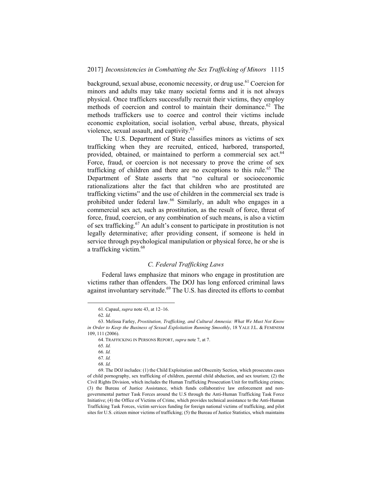background, sexual abuse, economic necessity, or drug use.61 Coercion for minors and adults may take many societal forms and it is not always physical. Once traffickers successfully recruit their victims, they employ methods of coercion and control to maintain their dominance.<sup>62</sup> The methods traffickers use to coerce and control their victims include economic exploitation, social isolation, verbal abuse, threats, physical violence, sexual assault, and captivity.<sup>63</sup>

The U.S. Department of State classifies minors as victims of sex trafficking when they are recruited, enticed, harbored, transported, provided, obtained, or maintained to perform a commercial sex act.<sup>64</sup> Force, fraud, or coercion is not necessary to prove the crime of sex trafficking of children and there are no exceptions to this rule.<sup>65</sup> The Department of State asserts that "no cultural or socioeconomic rationalizations alter the fact that children who are prostituted are trafficking victims" and the use of children in the commercial sex trade is prohibited under federal law.<sup>66</sup> Similarly, an adult who engages in a commercial sex act, such as prostitution, as the result of force, threat of force, fraud, coercion, or any combination of such means, is also a victim of sex trafficking.67 An adult's consent to participate in prostitution is not legally determinative; after providing consent, if someone is held in service through psychological manipulation or physical force, he or she is a trafficking victim.<sup>68</sup>

## *C. Federal Trafficking Laws*

Federal laws emphasize that minors who engage in prostitution are victims rather than offenders. The DOJ has long enforced criminal laws against involuntary servitude.<sup>69</sup> The U.S. has directed its efforts to combat

 <sup>61.</sup> Capaul, *supra* note 43, at 12–16.

<sup>62</sup>*. Id.* 

 <sup>63.</sup> Melissa Farley, *Prostitution, Trafficking, and Cultural Amnesia: What We Must Not Know in Order to Keep the Business of Sexual Exploitation Running Smoothly*, 18 YALE J.L. & FEMINISM 109, 111 (2006).

 <sup>64.</sup> TRAFFICKING IN PERSONS REPORT, *supra* note 7, at 7.

<sup>65</sup>*. Id.* 

<sup>66</sup>*. Id.* 

<sup>67</sup>*. Id.*

<sup>68</sup>*. Id.*

 <sup>69.</sup> The DOJ includes: (1) the Child Exploitation and Obscenity Section, which prosecutes cases of child pornography, sex trafficking of children, parental child abduction, and sex tourism; (2) the Civil Rights Division, which includes the Human Trafficking Prosecution Unit for trafficking crimes; (3) the Bureau of Justice Assistance, which funds collaborative law enforcement and nongovernmental partner Task Forces around the U.S through the Anti-Human Trafficking Task Force Initiative; (4) the Office of Victims of Crime, which provides technical assistance to the Anti-Human Trafficking Task Forces, victim services funding for foreign national victims of trafficking, and pilot sites for U.S. citizen minor victims of trafficking; (5) the Bureau of Justice Statistics, which maintains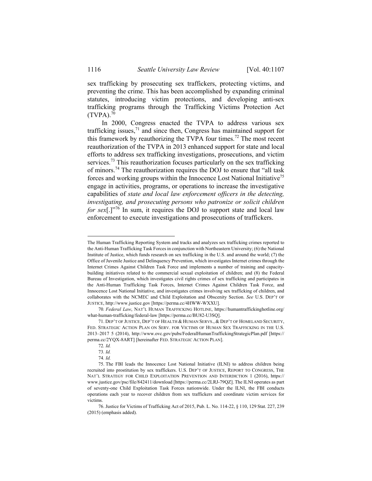sex trafficking by prosecuting sex traffickers, protecting victims, and preventing the crime. This has been accomplished by expanding criminal statutes, introducing victim protections, and developing anti-sex trafficking programs through the Trafficking Victims Protection Act  $(TVPA)$ <sup>70</sup>

In 2000, Congress enacted the TVPA to address various sex trafficking issues, $<sup>71</sup>$  and since then, Congress has maintained support for</sup> this framework by reauthorizing the TVPA four times.<sup>72</sup> The most recent reauthorization of the TVPA in 2013 enhanced support for state and local efforts to address sex trafficking investigations, prosecutions, and victim services.<sup>73</sup> This reauthorization focuses particularly on the sex trafficking of minors.74 The reauthorization requires the DOJ to ensure that "all task forces and working groups within the Innocence Lost National Initiative<sup>75</sup> engage in activities, programs, or operations to increase the investigative capabilities of *state and local law enforcement officers in the detecting, investigating, and prosecuting persons who patronize or solicit children for sex*[.]"<sup>76</sup> In sum, it requires the DOJ to support state and local law enforcement to execute investigations and prosecutions of traffickers.

The Human Trafficking Reporting System and tracks and analyzes sex trafficking crimes reported to the Anti-Human Trafficking Task Forces in conjunction with Northeastern University; (6) the National Institute of Justice, which funds research on sex trafficking in the U.S. and around the world; (7) the Office of Juvenile Justice and Delinquency Prevention, which investigates Internet crimes through the Internet Crimes Against Children Task Force and implements a number of training and capacitybuilding initiatives related to the commercial sexual exploitation of children; and (8) the Federal Bureau of Investigation, which investigates civil rights crimes of sex trafficking and participates in the Anti-Human Trafficking Task Forces, Internet Crimes Against Children Task Force, and Innocence Lost National Initiative, and investigates crimes involving sex trafficking of children, and collaborates with the NCMEC and Child Exploitation and Obscenity Section. *See* U.S. DEP'T OF JUSTICE, http://www.justice.gov [https://perma.cc/4HWW-WXXU].

<sup>70</sup>*. Federal Law*, NAT'L HUMAN TRAFFICKING HOTLINE, https://humantraffickinghotline.org/ what-human-trafficking/federal-law [https://perma.cc/BU82-U3SQ].

 <sup>71.</sup> DEP'T OF JUSTICE, DEP'T OF HEALTH & HUMAN SERVS., & DEP'T OF HOMELAND SECURITY, FED. STRATEGIC ACTION PLAN ON SERV. FOR VICTIMS OF HUMAN SEX TRAFFICKING IN THE U.S. 2013–2017 5 (2014), http://www.ovc.gov/pubs/FederalHumanTraffickingStrategicPlan.pdf [https:// perma.cc/2YQX-8ART] [hereinafter FED. STRATEGIC ACTION PLAN].

<sup>72</sup>*. Id.*

<sup>73</sup>*. Id.*

<sup>74</sup>*. Id.*

 <sup>75.</sup> The FBI leads the Innocence Lost National Initiative (ILNI) to address children being recruited into prostitution by sex traffickers. U.S. DEP'T OF JUSTICE, REPORT TO CONGRESS, THE NAT'L STRATEGY FOR CHILD EXPLOITATION PREVENTION AND INTERDICTION 1 (2016), https:// www.justice.gov/psc/file/842411/download [https://perma.cc/2LRJ-79QZ]. The ILNI operates as part of seventy-one Child Exploitation Task Forces nationwide. Under the ILNI, the FBI conducts operations each year to recover children from sex traffickers and coordinate victim services for victims.

 <sup>76.</sup> Justice for Victims of Trafficking Act of 2015, Pub. L. No. 114-22, § 110, 129 Stat. 227, 239 (2015) (emphasis added).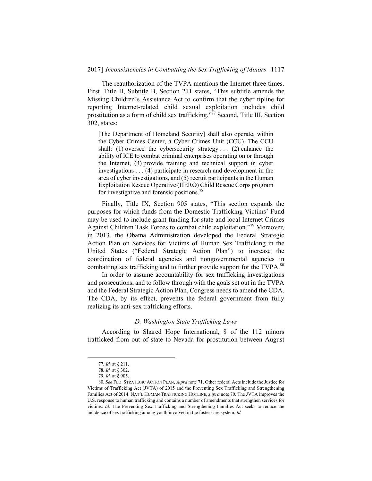The reauthorization of the TVPA mentions the Internet three times. First, Title II, Subtitle B, Section 211 states, "This subtitle amends the Missing Children's Assistance Act to confirm that the cyber tipline for reporting Internet-related child sexual exploitation includes child prostitution as a form of child sex trafficking."<sup> $77$ </sup> Second, Title III, Section 302, states:

[The Department of Homeland Security] shall also operate, within the Cyber Crimes Center, a Cyber Crimes Unit (CCU). The CCU shall: (1) oversee the cybersecurity strategy . . . (2) enhance the ability of ICE to combat criminal enterprises operating on or through the Internet, (3) provide training and technical support in cyber investigations . . . (4) participate in research and development in the area of cyber investigations, and (5) recruit participants in the Human Exploitation Rescue Operative (HERO) Child Rescue Corps program for investigative and forensic positions.<sup>78</sup>

Finally, Title IX, Section 905 states, "This section expands the purposes for which funds from the Domestic Trafficking Victims' Fund may be used to include grant funding for state and local Internet Crimes Against Children Task Forces to combat child exploitation."79 Moreover, in 2013, the Obama Administration developed the Federal Strategic Action Plan on Services for Victims of Human Sex Trafficking in the United States ("Federal Strategic Action Plan") to increase the coordination of federal agencies and nongovernmental agencies in combatting sex trafficking and to further provide support for the TVPA.<sup>80</sup>

In order to assume accountability for sex trafficking investigations and prosecutions, and to follow through with the goals set out in the TVPA and the Federal Strategic Action Plan, Congress needs to amend the CDA. The CDA, by its effect, prevents the federal government from fully realizing its anti-sex trafficking efforts.

### *D. Washington State Trafficking Laws*

According to Shared Hope International, 8 of the 112 minors trafficked from out of state to Nevada for prostitution between August

 <sup>77</sup>*. Id.* at § 211.

<sup>78</sup>*. Id.* at § 302.

<sup>79</sup>*. Id.* at § 905.

<sup>80</sup>*. See* FED. STRATEGIC ACTION PLAN, *supra* note 71. Other federal Acts include the Justice for Victims of Trafficking Act (JVTA) of 2015 and the Preventing Sex Trafficking and Strengthening Families Act of 2014. NAT'L HUMAN TRAFFICKING HOTLINE, *supra* note 70. The JVTA improves the U.S. response to human trafficking and contains a number of amendments that strengthen services for victims. *Id.* The Preventing Sex Trafficking and Strengthening Families Act seeks to reduce the incidence of sex trafficking among youth involved in the foster care system. *Id.*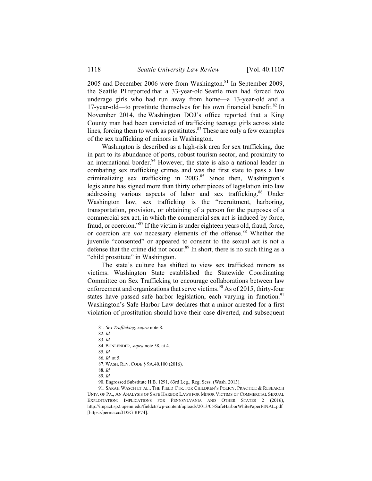2005 and December 2006 were from Washington.<sup>81</sup> In September 2009, the Seattle PI reported that a 33-year-old Seattle man had forced two underage girls who had run away from home—a 13-year-old and a 17-year-old—to prostitute themselves for his own financial benefit. ${}^{82}$  In November 2014, the Washington DOJ's office reported that a King County man had been convicted of trafficking teenage girls across state lines, forcing them to work as prostitutes. $83$  These are only a few examples of the sex trafficking of minors in Washington.

Washington is described as a high-risk area for sex trafficking, due in part to its abundance of ports, robust tourism sector, and proximity to an international border. $84$  However, the state is also a national leader in combating sex trafficking crimes and was the first state to pass a law criminalizing sex trafficking in  $2003$ .<sup>85</sup> Since then, Washington's legislature has signed more than thirty other pieces of legislation into law addressing various aspects of labor and sex trafficking.<sup>86</sup> Under Washington law, sex trafficking is the "recruitment, harboring, transportation, provision, or obtaining of a person for the purposes of a commercial sex act, in which the commercial sex act is induced by force, fraud, or coercion."87 If the victim is under eighteen years old, fraud, force, or coercion are *not* necessary elements of the offense.<sup>88</sup> Whether the juvenile "consented" or appeared to consent to the sexual act is not a defense that the crime did not occur.<sup>89</sup> In short, there is no such thing as a "child prostitute" in Washington.

The state's culture has shifted to view sex trafficked minors as victims. Washington State established the Statewide Coordinating Committee on Sex Trafficking to encourage collaborations between law enforcement and organizations that serve victims.<sup>90</sup> As of 2015, thirty-four states have passed safe harbor legislation, each varying in function.<sup>91</sup> Washington's Safe Harbor Law declares that a minor arrested for a first violation of prostitution should have their case diverted, and subsequent

83*. Id.*

85*. Id.*

89*. Id.*

 <sup>81</sup>*. Sex Trafficking*, *supra* note 8.

<sup>82</sup>*. Id.*

 <sup>84.</sup> BONLENDER, *supra* note 58, at 4.

<sup>86</sup>*. Id.* at 5.

 <sup>87.</sup> WASH. REV. CODE § 9A.40.100 (2016).

<sup>88</sup>*. Id.*

 <sup>90.</sup> Engrossed Substitute H.B. 1291, 63rd Leg., Reg. Sess. (Wash. 2013).

 <sup>91.</sup> SARAH WASCH ET AL., THE FIELD CTR. FOR CHILDREN'S POLICY, PRACTICE & RESEARCH UNIV. OF PA., AN ANALYSIS OF SAFE HARBOR LAWS FOR MINOR VICTIMS OF COMMERCIAL SEXUAL EXPLOITATION: IMPLICATIONS FOR PENNSYLVANIA AND OTHER STATES 2 (2016), http://impact.sp2.upenn.edu/fieldctr/wp-content/uploads/2013/05/SafeHarborWhitePaperFINAL.pdf [https://perma.cc/JD5G-RP74].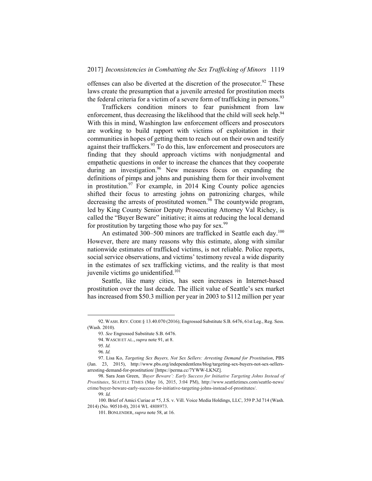offenses can also be diverted at the discretion of the prosecutor.<sup>92</sup> These laws create the presumption that a juvenile arrested for prostitution meets the federal criteria for a victim of a severe form of trafficking in persons.<sup>93</sup>

Traffickers condition minors to fear punishment from law enforcement, thus decreasing the likelihood that the child will seek help.<sup>94</sup> With this in mind, Washington law enforcement officers and prosecutors are working to build rapport with victims of exploitation in their communities in hopes of getting them to reach out on their own and testify against their traffickers.<sup>95</sup> To do this, law enforcement and prosecutors are finding that they should approach victims with nonjudgmental and empathetic questions in order to increase the chances that they cooperate during an investigation.<sup>96</sup> New measures focus on expanding the definitions of pimps and johns and punishing them for their involvement in prostitution.<sup>97</sup> For example, in 2014 King County police agencies shifted their focus to arresting johns on patronizing charges, while decreasing the arrests of prostituted women.<sup>98</sup> The countywide program, led by King County Senior Deputy Prosecuting Attorney Val Richey, is called the "Buyer Beware" initiative; it aims at reducing the local demand for prostitution by targeting those who pay for sex. $99$ 

An estimated 300–500 minors are trafficked in Seattle each day.<sup>100</sup> However, there are many reasons why this estimate, along with similar nationwide estimates of trafficked victims, is not reliable. Police reports, social service observations, and victims' testimony reveal a wide disparity in the estimates of sex trafficking victims, and the reality is that most juvenile victims go unidentified.<sup>101</sup>

Seattle, like many cities, has seen increases in Internet-based prostitution over the last decade. The illicit value of Seattle's sex market has increased from \$50.3 million per year in 2003 to \$112 million per year

 <sup>92.</sup>WASH.REV.CODE § 13.40.070 (2016); Engrossed Substitute S.B. 6476, 61st Leg., Reg. Sess. (Wash. 2010).

<sup>93</sup>*. See* Engrossed Substitute S.B. 6476.

 <sup>94.</sup> WASCH ET AL., *supra* note 91, at 8.

<sup>95</sup>*. Id.* 

<sup>96</sup>*. Id.*

 <sup>97.</sup> Lisa Ko, *Targeting Sex Buyers, Not Sex Sellers: Arresting Demand for Prostitution*, PBS (Jan. 23, 2015), http://www.pbs.org/independentlens/blog/targeting-sex-buyers-not-sex-sellersarresting-demand-for-prostitution/ [https://perma.cc/7YWW-LKNZ].

 <sup>98.</sup> Sara Jean Green, *'Buyer Beware': Early Success for Initiative Targeting Johns Instead of Prostitutes*, SEATTLE TIMES (May 16, 2015, 3:04 PM), http://www.seattletimes.com/seattle-news/ crime/buyer-beware-early-success-for-initiative-targeting-johns-instead-of-prostitutes/.

<sup>99</sup>*. Id.* 

 <sup>100.</sup> Brief of Amici Curiae at \*5, J.S. v. Vill. Voice Media Holdings, LLC, 359 P.3d 714 (Wash. 2014) (No. 90510-0), 2014 WL 4808973.

 <sup>101.</sup> BONLENDER, *supra* note 58, at 16.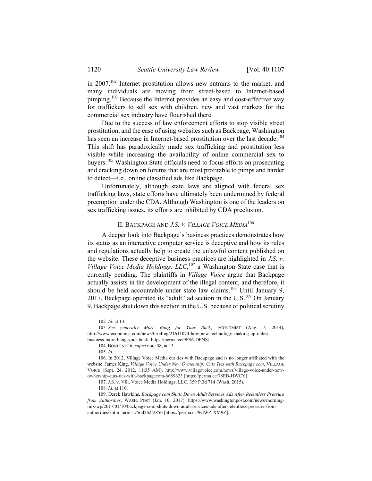in 2007.102 Internet prostitution allows new entrants to the market, and many individuals are moving from street-based to Internet-based pimping.<sup>103</sup> Because the Internet provides an easy and cost-effective way for traffickers to sell sex with children, new and vast markets for the commercial sex industry have flourished there.

Due to the success of law enforcement efforts to stop visible street prostitution, and the ease of using websites such as Backpage, Washington has seen an increase in Internet-based prostitution over the last decade.<sup>104</sup> This shift has paradoxically made sex trafficking and prostitution less visible while increasing the availability of online commercial sex to buyers.<sup>105</sup> Washington State officials need to focus efforts on prosecuting and cracking down on forums that are most profitable to pimps and harder to detect—i.e., online classified ads like Backpage.

Unfortunately, although state laws are aligned with federal sex trafficking laws, state efforts have ultimately been undermined by federal preemption under the CDA. Although Washington is one of the leaders on sex trafficking issues, its efforts are inhibited by CDA preclusion.

## II. BACKPAGE AND *J.S. V. VILLAGE VOICE MEDIA*<sup>106</sup>

A deeper look into Backpage's business practices demonstrates how its status as an interactive computer service is deceptive and how its rules and regulations actually help to create the unlawful content published on the website. These deceptive business practices are highlighted in *J.S. v. Village Voice Media Holdings,*  $LLC$ *,*<sup>107</sup> a Washington State case that is currently pending. The plaintiffs in *Village Voice* argue that Backpage actually assists in the development of the illegal content, and therefore, it should be held accountable under state law claims.<sup>108</sup> Until January 9, 2017, Backpage operated its "adult" ad section in the U.S.<sup>109</sup> On January 9, Backpage shut down this section in the U.S. because of political scrutiny

 <sup>102</sup>*. Id.* at 13.

<sup>103</sup>*. See generally More Bang for Your Buck*, ECONOMIST (Aug. 7, 2014), http://www.economist.com/news/briefing/21611074-how-new-technology-shaking-up-oldestbusiness-more-bang-your-buck [https://perma.cc/9FS6-DFNS].

 <sup>104.</sup> BONLENDER, *supra* note 58, at 13.

<sup>105</sup>*. Id.*

 <sup>106.</sup> In 2012, Village Voice Media cut ties with Backpage and is no longer affiliated with the website. James King, *Village Voice Under New Ownership; Cuts Ties with Backpage.com*, VILLAGE VOICE (Sept. 24, 2012, 11:35 AM), http://www.villagevoice.com/news/village-voice-under-newownership-cuts-ties-with-backpagecom-6689623 [https://perma.cc/78EB-HWCY].

<sup>107.</sup> J.S. v. Vill. Voice Media Holdings, LLC, 359 P.3d 714 (Wash. 2015).

<sup>108</sup>*. Id.* at 110.

 <sup>109.</sup> Derek Hawkins, *Backpage.com Shuts Down Adult Services Ads After Relentless Pressure from Authorities*, WASH. POST (Jan. 10, 2017), https://www.washingtonpost.com/news/morningmix/wp/2017/01/10/backpage-com-shuts-down-adult-services-ads-after-relentless-pressure-fromauthorities/?utm\_term=.75dd2b2f2856 [https://perma.cc/9GWZ-XM9Z].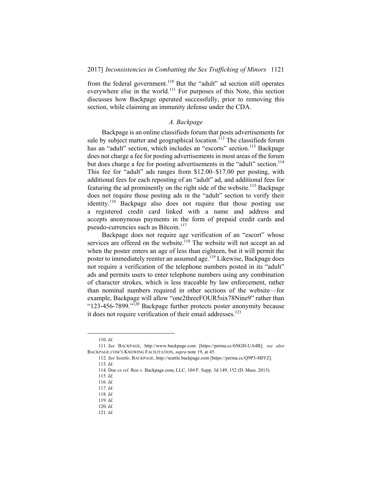from the federal government.<sup>110</sup> But the "adult" ad section still operates everywhere else in the world.<sup>111</sup> For purposes of this Note, this section discusses how Backpage operated successfully, prior to removing this section, while claiming an immunity defense under the CDA.

## *A. Backpage*

Backpage is an online classifieds forum that posts advertisements for sale by subject matter and geographical location.<sup>112</sup> The classifieds forum has an "adult" section, which includes an "escorts" section.<sup>113</sup> Backpage does not charge a fee for posting advertisements in most areas of the forum but does charge a fee for posting advertisements in the "adult" section.<sup>114</sup> This fee for "adult" ads ranges from \$12.00–\$17.00 per posting, with additional fees for each reposting of an "adult" ad, and additional fees for featuring the ad prominently on the right side of the website.<sup>115</sup> Backpage does not require those posting ads in the "adult" section to verify their identity.116 Backpage also does not require that those posting use a registered credit card linked with a name and address and accepts anonymous payments in the form of prepaid credit cards and pseudo-currencies such as Bitcoin.<sup>117</sup>

Backpage does not require age verification of an "escort" whose services are offered on the website.<sup>118</sup> The website will not accept an ad when the poster enters an age of less than eighteen, but it will permit the poster to immediately reenter an assumed age.<sup>119</sup> Likewise, Backpage does not require a verification of the telephone numbers posted in its "adult" ads and permits users to enter telephone numbers using any combination of character strokes, which is less traceable by law enforcement, rather than nominal numbers required in other sections of the website—for example, Backpage will allow "one2threeFOUR5six78Nine9" rather than " $123-456-7899$ ."<sup>120</sup> Backpage further protects poster anonymity because it does not require verification of their email addresses.<sup>121</sup>

 <sup>110</sup>*. Id.*

<sup>111</sup>*. See* BACKPAGE, http://www.backpage.com [https://perma.cc/6NGH-UA4B]; *see also*  BACKPAGE.COM'S KNOWING FACILITATION, *supra* note 19, at 45.

<sup>112</sup>*. See Seattle*, BACKPAGE, http://seattle.backpage.com [https://perma.cc/Q9P3-8BYZ].

<sup>113</sup>*. Id.*

 <sup>114.</sup> Doe *ex rel.* Roe v. Backpage.com, LLC, 104 F. Supp. 3d 149, 152 (D. Mass. 2015).

<sup>115</sup>*. Id.* 

<sup>116</sup>*. Id.* 

<sup>117</sup>*. Id.* 

<sup>118</sup>*. Id.* 

<sup>119</sup>*. Id.*

<sup>120</sup>*. Id.*

<sup>121</sup>*. Id.*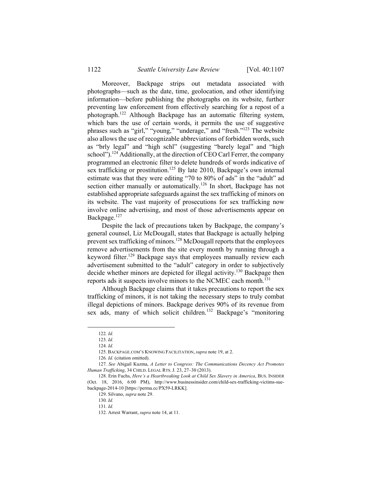Moreover, Backpage strips out metadata associated with photographs—such as the date, time, geolocation, and other identifying information—before publishing the photographs on its website, further preventing law enforcement from effectively searching for a repost of a photograph.122 Although Backpage has an automatic filtering system, which bars the use of certain words, it permits the use of suggestive phrases such as "girl," "young," "underage," and "fresh."123 The website also allows the use of recognizable abbreviations of forbidden words, such as "brly legal" and "high schl" (suggesting "barely legal" and "high school").<sup>124</sup> Additionally, at the direction of CEO Carl Ferrer, the company programmed an electronic filter to delete hundreds of words indicative of sex trafficking or prostitution.<sup>125</sup> By late 2010, Backpage's own internal estimate was that they were editing "70 to 80% of ads" in the "adult" ad section either manually or automatically.<sup>126</sup> In short, Backpage has not established appropriate safeguards against the sex trafficking of minors on its website. The vast majority of prosecutions for sex trafficking now involve online advertising, and most of those advertisements appear on Backpage.<sup>127</sup>

Despite the lack of precautions taken by Backpage, the company's general counsel, Liz McDougall, states that Backpage is actually helping prevent sex trafficking of minors.<sup>128</sup> McDougall reports that the employees remove advertisements from the site every month by running through a keyword filter.<sup>129</sup> Backpage says that employees manually review each advertisement submitted to the "adult" category in order to subjectively decide whether minors are depicted for illegal activity.130 Backpage then reports ads it suspects involve minors to the NCMEC each month.<sup>131</sup>

Although Backpage claims that it takes precautions to report the sex trafficking of minors, it is not taking the necessary steps to truly combat illegal depictions of minors. Backpage derives 90% of its revenue from sex ads, many of which solicit children.<sup>132</sup> Backpage's "monitoring"

 <sup>122</sup>*. Id.* 

<sup>123</sup>*. Id.*

<sup>124</sup>*. Id.*

 <sup>125.</sup> BACKPAGE.COM'S KNOWING FACILITATION, *supra* note 19, at 2.

<sup>126</sup>*. Id.* (citation omitted).

<sup>127</sup>*. See* Abigail Kuzma, *A Letter to Congress: The Communications Decency Act Promotes Human Trafficking*, 34 CHILD. LEGAL RTS. J. 23, 27–30 (2013).

 <sup>128.</sup> Erin Fuchs, *Here's a Heartbreaking Look at Child Sex Slavery in America*, BUS. INSIDER (Oct. 18, 2016, 6:00 PM), http://www.businessinsider.com/child-sex-trafficking-victims-suebackpage-2014-10 [https://perma.cc/PX59-LRKK].

 <sup>129.</sup> Silvano, *supra* note 29.

<sup>130</sup>*. Id.* 

<sup>131</sup>*. Id.* 

 <sup>132.</sup> Arrest Warrant, *supra* note 14, at 11.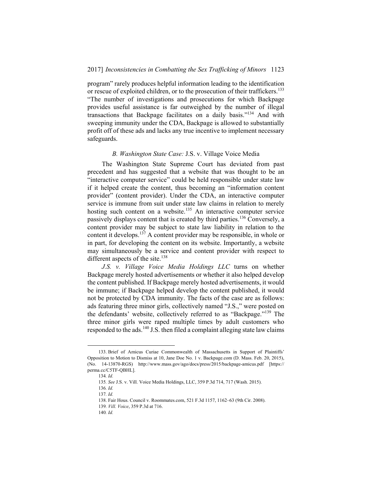program" rarely produces helpful information leading to the identification or rescue of exploited children, or to the prosecution of their traffickers.<sup>133</sup> "The number of investigations and prosecutions for which Backpage provides useful assistance is far outweighed by the number of illegal transactions that Backpage facilitates on a daily basis."134 And with sweeping immunity under the CDA, Backpage is allowed to substantially profit off of these ads and lacks any true incentive to implement necessary safeguards.

## *B. Washington State Case:* J.S. v. Village Voice Media

The Washington State Supreme Court has deviated from past precedent and has suggested that a website that was thought to be an "interactive computer service" could be held responsible under state law if it helped create the content, thus becoming an "information content provider" (content provider). Under the CDA, an interactive computer service is immune from suit under state law claims in relation to merely hosting such content on a website.<sup>135</sup> An interactive computer service passively displays content that is created by third parties.<sup>136</sup> Conversely, a content provider may be subject to state law liability in relation to the content it develops.137 A content provider may be responsible, in whole or in part, for developing the content on its website. Importantly, a website may simultaneously be a service and content provider with respect to different aspects of the site.<sup>138</sup>

*J.S. v. Village Voice Media Holdings LLC* turns on whether Backpage merely hosted advertisements or whether it also helped develop the content published. If Backpage merely hosted advertisements, it would be immune; if Backpage helped develop the content published, it would not be protected by CDA immunity. The facts of the case are as follows: ads featuring three minor girls, collectively named "J.S.," were posted on the defendants' website, collectively referred to as "Backpage."139 The three minor girls were raped multiple times by adult customers who responded to the ads.<sup>140</sup> J.S. then filed a complaint alleging state law claims

 <sup>133.</sup> Brief of Amicus Curiae Commonwealth of Massachusetts in Support of Plaintiffs' Opposition to Motion to Dismiss at 10, Jane Doe No. 1 v. Backpage.com (D. Mass. Feb. 20, 2015), (No. 14-13870-RGS) http://www.mass.gov/ago/docs/press/2015/backpage-amicus.pdf [https:// perma.cc/C5TF-QBHL].

<sup>134</sup>*. Id.* 

<sup>135</sup>*. See* J.S. v. Vill. Voice Media Holdings, LLC, 359 P.3d 714, 717 (Wash. 2015).

<sup>136</sup>*. Id.*

<sup>137</sup>*. Id.*

 <sup>138.</sup> Fair Hous. Council v. Roommates.com, 521 F.3d 1157, 1162–63 (9th Cir. 2008).

<sup>139</sup>*. Vill. Voice*, 359 P.3d at 716.

<sup>140</sup>*. Id.*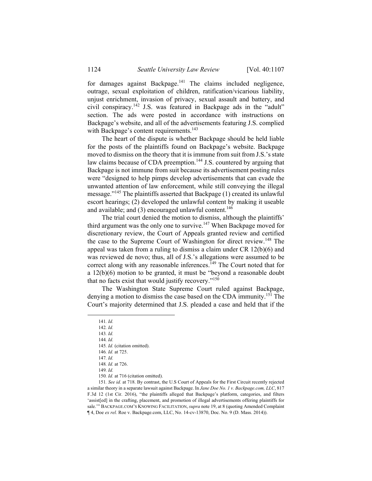for damages against Backpage.<sup>141</sup> The claims included negligence, outrage, sexual exploitation of children, ratification/vicarious liability, unjust enrichment, invasion of privacy, sexual assault and battery, and civil conspiracy.142 J.S. was featured in Backpage ads in the "adult" section. The ads were posted in accordance with instructions on Backpage's website, and all of the advertisements featuring J.S. complied with Backpage's content requirements.<sup>143</sup>

The heart of the dispute is whether Backpage should be held liable for the posts of the plaintiffs found on Backpage's website. Backpage moved to dismiss on the theory that it is immune from suit from J.S.'s state law claims because of CDA preemption.<sup>144</sup> J.S. countered by arguing that Backpage is not immune from suit because its advertisement posting rules were "designed to help pimps develop advertisements that can evade the unwanted attention of law enforcement, while still conveying the illegal message."145 The plaintiffs asserted that Backpage (1) created its unlawful escort hearings; (2) developed the unlawful content by making it useable and available; and  $(3)$  encouraged unlawful content.<sup>146</sup>

The trial court denied the motion to dismiss, although the plaintiffs' third argument was the only one to survive.<sup>147</sup> When Backpage moved for discretionary review, the Court of Appeals granted review and certified the case to the Supreme Court of Washington for direct review.<sup>148</sup> The appeal was taken from a ruling to dismiss a claim under CR 12(b)(6) and was reviewed de novo; thus, all of J.S.'s allegations were assumed to be correct along with any reasonable inferences.<sup>149</sup> The Court noted that for a 12(b)(6) motion to be granted, it must be "beyond a reasonable doubt that no facts exist that would justify recovery."<sup>150</sup>

The Washington State Supreme Court ruled against Backpage, denying a motion to dismiss the case based on the CDA immunity.<sup>151</sup> The Court's majority determined that J.S. pleaded a case and held that if the

 <sup>141</sup>*. Id.*

<sup>142</sup>*. Id.* 

<sup>143</sup>*. Id.*  144*. Id.*

<sup>145</sup>*. Id.* (citation omitted). 146*. Id.* at 725.

<sup>147</sup>*. Id.*

<sup>148</sup>*. Id.* at 726.

<sup>149</sup>*. Id.*

<sup>150</sup>*. Id.* at 716 (citation omitted).

<sup>151</sup>*. See id.* at 718. By contrast, the U.S Court of Appeals for the First Circuit recently rejected a similar theory in a separate lawsuit against Backpage. In *Jane Doe No. 1 v. Backpage.com, LLC*, 817 F.3d 12 (1st Cir. 2016), "the plaintiffs alleged that Backpage's platform, categories, and filters 'assist[ed] in the crafting, placement, and promotion of illegal advertisements offering plaintiffs for sale.'" BACKPAGE.COM'S KNOWING FACILITATION, *supra* note 19, at 8 (quoting Amended Complaint ¶ 4, Doe *ex rel.* Roe v. Backpage.com, LLC, No. 14-cv-13870, Doc. No. 9 (D. Mass. 2014)).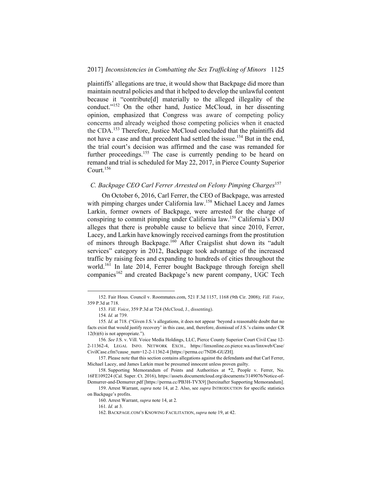plaintiffs' allegations are true, it would show that Backpage did more than maintain neutral policies and that it helped to develop the unlawful content because it "contribute[d] materially to the alleged illegality of the conduct."152 On the other hand, Justice McCloud, in her dissenting opinion, emphasized that Congress was aware of competing policy concerns and already weighed those competing policies when it enacted the CDA.153 Therefore, Justice McCloud concluded that the plaintiffs did not have a case and that precedent had settled the issue.<sup>154</sup> But in the end, the trial court's decision was affirmed and the case was remanded for further proceedings.<sup>155</sup> The case is currently pending to be heard on remand and trial is scheduled for May 22, 2017, in Pierce County Superior Court.156

## *C. Backpage CEO Carl Ferrer Arrested on Felony Pimping Charges*<sup>157</sup>

On October 6, 2016, Carl Ferrer, the CEO of Backpage, was arrested with pimping charges under California law.<sup>158</sup> Michael Lacey and James Larkin, former owners of Backpage, were arrested for the charge of conspiring to commit pimping under California law.159 California's DOJ alleges that there is probable cause to believe that since 2010, Ferrer, Lacey, and Larkin have knowingly received earnings from the prostitution of minors through Backpage.160 After Craigslist shut down its "adult services" category in 2012, Backpage took advantage of the increased traffic by raising fees and expanding to hundreds of cities throughout the world.<sup>161</sup> In late 2014, Ferrer bought Backpage through foreign shell companies<sup>162</sup> and created Backpage's new parent company, UGC Tech

 <sup>152.</sup> Fair Hous. Council v. Roommates.com, 521 F.3d 1157, 1168 (9th Cir. 2008); *Vill. Voice*, 359 P.3d at 718.

<sup>153</sup>*. Vill. Voice*, 359 P.3d at 724 (McCloud, J., dissenting).

<sup>154</sup>*. Id.* at 739.

<sup>155</sup>*. Id.* at 718. ("Given J.S.'s allegations, it does not appear 'beyond a reasonable doubt that no facts exist that would justify recovery' in this case, and, therefore, dismissal of J.S.'s claims under CR  $12(b)(6)$  is not appropriate.").

<sup>156</sup>*. See* J.S. v. Vill. Voice Media Holdings, LLC, Pierce County Superior Court Civil Case 12- 2-11362-4, LEGAL INFO. NETWORK EXCH., https://linxonline.co.pierce.wa.us/linxweb/Case/ CivilCase.cfm?cause\_num=12-2-11362-4 [https://perma.cc/7ND8-GUZH].

 <sup>157.</sup> Please note that this section contains allegations against the defendants and that Carl Ferrer, Michael Lacey, and James Larkin must be presumed innocent unless proven guilty.

 <sup>158.</sup> Supporting Memorandum of Points and Authorities at \*2, People v. Ferrer, No. 16FE109224 (Cal. Super. Ct. 2016), https://assets.documentcloud.org/documents/3149076/Notice-of-Demurrer-and-Demurrer.pdf [https://perma.cc/PB3H-TVX9] [hereinafter Supporting Memorandum].

 <sup>159.</sup> Arrest Warrant, *supra* note 14, at 2. Also, see *supra* INTRODUCTION for specific statistics on Backpage's profits.

 <sup>160.</sup> Arrest Warrant, *supra* note 14, at 2*.*

<sup>161</sup>*. Id.* at 3.

 <sup>162.</sup> BACKPAGE.COM'S KNOWING FACILITATION, *supra* note 19, at 42.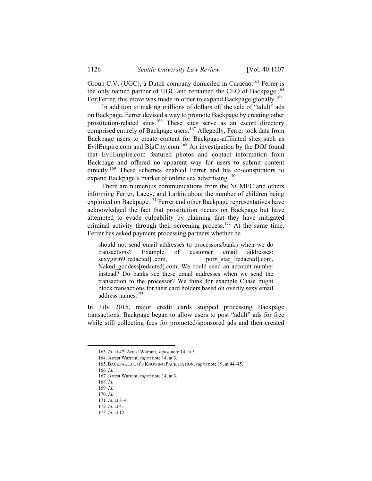Group C.V. (UGC), a Dutch company domiciled in Curacao.<sup>163</sup> Ferrer is the only named partner of UGC and remained the CEO of Backpage.<sup>164</sup> For Ferrer, this move was made in order to expand Backpage globally.<sup>165</sup>

In addition to making millions of dollars off the sale of "adult" ads on Backpage, Ferrer devised a way to promote Backpage by creating other prostitution-related sites.<sup>166</sup> These sites serve as an escort directory comprised entirely of Backpage users.<sup>167</sup> Allegedly, Ferrer took data from Backpage users to create content for Backpage-affiliated sites such as EvilEmpire.com and BigCity.com.<sup>168</sup> An investigation by the DOJ found that EvilEmpire.com featured photos and contact information from Backpage and offered no apparent way for users to submit content directly.<sup>169</sup> These schemes enabled Ferrer and his co-conspirators to expand Backpage's market of online sex advertising.<sup>170</sup>

There are numerous communications from the NCMEC and others informing Ferrer, Lacey, and Larkin about the number of children being exploited on Backpage.<sup>171</sup> Ferrer and other Backpage representatives have acknowledged the fact that prostitution occurs on Backpage but have attempted to evade culpability by claiming that they have mitigated criminal activity through their screening process.<sup>172</sup> At the same time, Ferrer has asked payment processing partners whether he

should not send email addresses to processors/banks when we do transactions? Example of customer email addresses: sexygirl69[redacted]l.com, porn\_star\_[redacted].com, Naked\_goddess[redacted].com. We could send an account number instead? Do banks see these email addresses when we send the transaction to the processor? We think for example Chase might block transactions for their card holders based on overtly sexy email address names.173

In July 2015, major credit cards stopped processing Backpage transactions. Backpage began to allow users to post "adult" ads for free while still collecting fees for promoted/sponsored ads and then created

 <sup>163</sup>*. Id.* at 47; Arrest Warrant, *supra* note 14, at 3.

 <sup>164.</sup> Arrest Warrant, *supra* note 14, at 3.

 <sup>165.</sup> BACKPAGE.COM'S KNOWING FACILITATION, *supra* note 19, at 44–45.

<sup>166</sup>*. Id.*

 <sup>167.</sup> Arrest Warrant, *supra* note 14, at 3.

<sup>168</sup>*. Id.*

<sup>169</sup>*. Id.*

<sup>170</sup>*. Id.*

<sup>171</sup>*. Id.* at 3–4.

<sup>172</sup>*. Id.* at 4.

<sup>173</sup>*. Id.* at 12.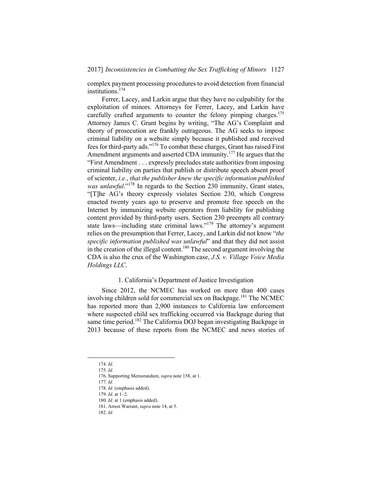## 2017] *Inconsistencies in Combatting the Sex Trafficking of Minors* 1127

complex payment processing procedures to avoid detection from financial institutions.174

Ferrer, Lacey, and Larkin argue that they have no culpability for the exploitation of minors. Attorneys for Ferrer, Lacey, and Larkin have carefully crafted arguments to counter the felony pimping charges.<sup>175</sup> Attorney James C. Grant begins by writing, "The AG's Complaint and theory of prosecution are frankly outrageous. The AG seeks to impose criminal liability on a website simply because it published and received fees for third-party ads."176 To combat these charges, Grant has raised First Amendment arguments and asserted CDA immunity.<sup>177</sup> He argues that the "First Amendment . . . expressly precludes state authorities from imposing criminal liability on parties that publish or distribute speech absent proof of scienter, *i.e.*, *that the publisher knew the specific information published was unlawful*."178 In regards to the Section 230 immunity, Grant states, "[T]he AG's theory expressly violates Section 230, which Congress enacted twenty years ago to preserve and promote free speech on the Internet by immunizing website operators from liability for publishing content provided by third-party users. Section 230 preempts all contrary state laws—including state criminal laws."179 The attorney's argument relies on the presumption that Ferrer, Lacey, and Larkin did not know "*the specific information published was unlawful*" and that they did not assist in the creation of the illegal content.<sup>180</sup> The second argument involving the CDA is also the crux of the Washington case, *J.S. v. Village Voice Media Holdings LLC*.

## 1. California's Department of Justice Investigation

Since 2012, the NCMEC has worked on more than 400 cases involving children sold for commercial sex on Backpage.<sup>181</sup> The NCMEC has reported more than 2,900 instances to California law enforcement where suspected child sex trafficking occurred via Backpage during that same time period.<sup>182</sup> The California DOJ began investigating Backpage in 2013 because of these reports from the NCMEC and news stories of

 <sup>174</sup>*. Id.*

<sup>175</sup>*. Id.*

 <sup>176.</sup> Supporting Memorandum, *supra* note 158, at 1.

<sup>177</sup>*. Id.*

<sup>178</sup>*. Id.* (emphasis added).

<sup>179</sup>*. Id.* at 1–2.

<sup>180</sup>*. Id.* at 1 (emphasis added).

 <sup>181.</sup> Arrest Warrant, *supra* note 14, at 5.

<sup>182</sup>*. Id.*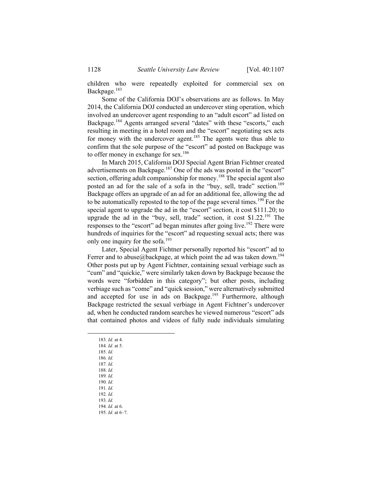children who were repeatedly exploited for commercial sex on Backpage.<sup>183</sup>

Some of the California DOJ's observations are as follows. In May 2014, the California DOJ conducted an undercover sting operation, which involved an undercover agent responding to an "adult escort" ad listed on Backpage.<sup>184</sup> Agents arranged several "dates" with these "escorts," each resulting in meeting in a hotel room and the "escort" negotiating sex acts for money with the undercover agent.<sup>185</sup> The agents were thus able to confirm that the sole purpose of the "escort" ad posted on Backpage was to offer money in exchange for sex.<sup>186</sup>

In March 2015, California DOJ Special Agent Brian Fichtner created advertisements on Backpage.<sup>187</sup> One of the ads was posted in the "escort" section, offering adult companionship for money.<sup>188</sup> The special agent also posted an ad for the sale of a sofa in the "buy, sell, trade" section.<sup>189</sup> Backpage offers an upgrade of an ad for an additional fee, allowing the ad to be automatically reposted to the top of the page several times.<sup>190</sup> For the special agent to upgrade the ad in the "escort" section, it cost \$111.20; to upgrade the ad in the "buy, sell, trade" section, it cost  $$1.22$ <sup>191</sup> The responses to the "escort" ad began minutes after going live.<sup>192</sup> There were hundreds of inquiries for the "escort" ad requesting sexual acts; there was only one inquiry for the sofa.<sup>193</sup>

Later, Special Agent Fichtner personally reported his "escort" ad to Ferrer and to abuse@backpage, at which point the ad was taken down.<sup>194</sup> Other posts put up by Agent Fichtner, containing sexual verbiage such as "cum" and "quickie," were similarly taken down by Backpage because the words were "forbidden in this category"; but other posts, including verbiage such as "come" and "quick session," were alternatively submitted and accepted for use in ads on Backpage.<sup>195</sup> Furthermore, although Backpage restricted the sexual verbiage in Agent Fichtner's undercover ad, when he conducted random searches he viewed numerous "escort" ads that contained photos and videos of fully nude individuals simulating

- 183*. Id.* at 4.
- 184*. Id.* at 5.
- 185*. Id.*
- 186*. Id.*
- 187*. Id.*
- 188*. Id.*
- 189*. Id.*
- 190*. Id.*
- 191*. Id.* 192*. Id.*
- 193*. Id.*
- 194*. Id.* at 6.
- 195*. Id.* at 6–7.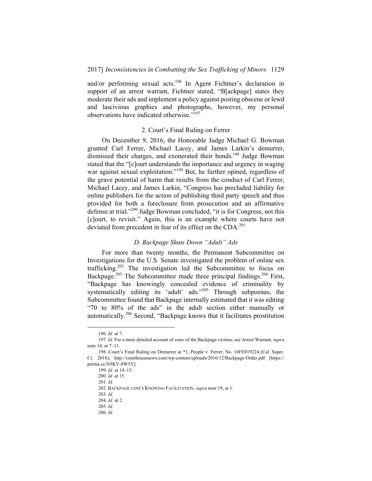and/or performing sexual acts.<sup>196</sup> In Agent Fichtner's declaration in support of an arrest warrant, Fichtner stated, "B[ackpage] states they moderate their ads and implement a policy against posting obscene or lewd and lascivious graphics and photographs, however, my personal observations have indicated otherwise."197

## 2. Court's Final Ruling on Ferrer

On December 9, 2016, the Honorable Judge Michael G. Bowman granted Carl Ferrer, Michael Lacey, and James Larkin's demurrer, dismissed their charges, and exonerated their bonds.<sup>198</sup> Judge Bowman stated that the "[c]ourt understands the importance and urgency in waging war against sexual exploitation."<sup>199</sup> But, he further opined, regardless of the grave potential of harm that results from the conduct of Carl Ferrer, Michael Lacey, and James Larkin, "Congress has precluded liability for online publishers for the action of publishing third party speech and thus provided for both a foreclosure from prosecution and an affirmative defense at trial."200 Judge Bowman concluded, "it is for Congress, not this [c]ourt, to revisit." Again, this is an example where courts have not deviated from precedent in fear of its effect on the CDA.<sup>201</sup>

## *D. Backpage Shuts Down "Adult" Ads*

For more than twenty months, the Permanent Subcommittee on Investigations for the U.S. Senate investigated the problem of online sex trafficking.202 The investigation led the Subcommittee to focus on Backpage.<sup>203</sup> The Subcommittee made three principal findings.<sup>204</sup> First, "Backpage has knowingly concealed evidence of criminality by systematically editing its 'adult' ads."<sup>205</sup> Through subpoenas, the Subcommittee found that Backpage internally estimated that it was editing "70 to 80% of the ads" in the adult section either manually or automatically.206 Second, "Backpage knows that it facilitates prostitution

 <sup>196</sup>*. Id.* at 7.

<sup>197</sup>*. Id.* For a more detailed account of *some* of the Backpage victims, see Arrest Warrant, *supra*  note 14, at 7–11.

 <sup>198.</sup> Court's Final Ruling on Demurrer at \*1, People v. Ferrer, No. 16FE019224 (Cal. Super. Ct. 2016), http://courthousenews.com/wp-content/uploads/2016/12/Backpage-Order.pdf [https:// perma.cc/N5KV-8W5V].

<sup>199</sup>*. Id.* at 14–15.

<sup>200</sup>*. Id.* at 15.

<sup>201</sup>*. Id.*

 <sup>202.</sup> BACKPAGE.COM'S KNOWING FACILITATION, *supra* note 19, at 1.

<sup>203</sup>*. Id.*

<sup>204</sup>*. Id.* at 2.

<sup>205</sup>*. Id.*

<sup>206</sup>*. Id.*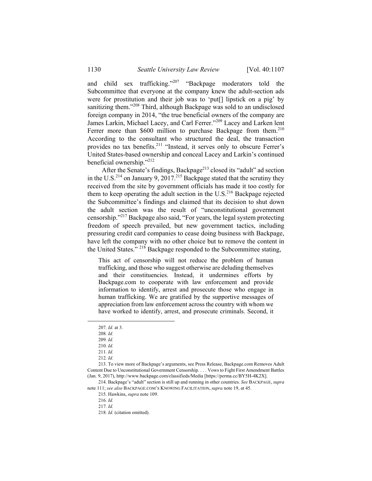and child sex trafficking."207 "Backpage moderators told the Subcommittee that everyone at the company knew the adult-section ads were for prostitution and their job was to 'put[] lipstick on a pig' by sanitizing them."<sup>208</sup> Third, although Backpage was sold to an undisclosed foreign company in 2014, "the true beneficial owners of the company are James Larkin, Michael Lacey, and Carl Ferrer."209 Lacey and Larken lent Ferrer more than \$600 million to purchase Backpage from them.<sup>210</sup> According to the consultant who structured the deal, the transaction provides no tax benefits.211 "Instead, it serves only to obscure Ferrer's United States-based ownership and conceal Lacey and Larkin's continued beneficial ownership."212

After the Senate's findings, Backpage<sup>213</sup> closed its "adult" ad section in the U.S.<sup>214</sup> on January 9, 2017.<sup>215</sup> Backpage stated that the scrutiny they received from the site by government officials has made it too costly for them to keep operating the adult section in the  $U.S.<sup>216</sup>$  Backpage rejected the Subcommittee's findings and claimed that its decision to shut down the adult section was the result of "unconstitutional government censorship."217 Backpage also said, "For years, the legal system protecting freedom of speech prevailed, but new government tactics, including pressuring credit card companies to cease doing business with Backpage, have left the company with no other choice but to remove the content in the United States." <sup>218</sup> Backpage responded to the Subcommittee stating,

This act of censorship will not reduce the problem of human trafficking, and those who suggest otherwise are deluding themselves and their constituencies. Instead, it undermines efforts by Backpage.com to cooperate with law enforcement and provide information to identify, arrest and prosecute those who engage in human trafficking. We are gratified by the supportive messages of appreciation from law enforcement across the country with whom we have worked to identify, arrest, and prosecute criminals. Second, it

 213. To view more of Backpage's arguments, see Press Release, Backpage.com Removes Adult Content Due to Unconstitutional Government Censorship. . . . Vows to Fight First Amendment Battles (Jan. 9, 2017), http://www.backpage.com/classifieds/Media [https://perma.cc/BY5H-4K2X].

 214. Backpage's "adult" section is still up and running in other countries. *See* BACKPAGE, *supra* note 111; *see also* BACKPAGE.COM'S KNOWING FACILITATION, *supra* note 19, at 45.

216*. Id.*

217*. Id.*

218*. Id.* (citation omitted).

 <sup>207</sup>*. Id.* at 3.

<sup>208</sup>*. Id.*

<sup>209</sup>*. Id.*

<sup>210</sup>*. Id.*

<sup>211</sup>*. Id.*

<sup>212</sup>*. Id.*

 <sup>215.</sup> Hawkins, *supra* note 109.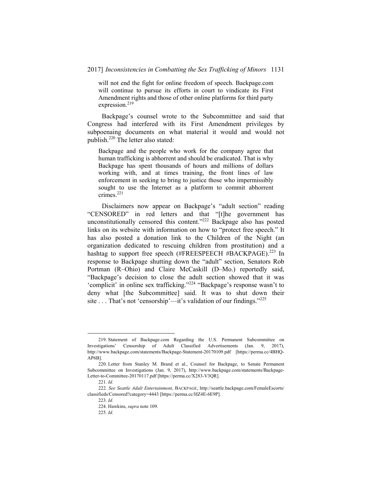#### 2017] *Inconsistencies in Combatting the Sex Trafficking of Minors* 1131

will not end the fight for online freedom of speech. Backpage.com will continue to pursue its efforts in court to vindicate its First Amendment rights and those of other online platforms for third party expression.<sup>219</sup>

Backpage's counsel wrote to the Subcommittee and said that Congress had interfered with its First Amendment privileges by subpoenaing documents on what material it would and would not publish.220 The letter also stated:

Backpage and the people who work for the company agree that human trafficking is abhorrent and should be eradicated. That is why Backpage has spent thousands of hours and millions of dollars working with, and at times training, the front lines of law enforcement in seeking to bring to justice those who impermissibly sought to use the Internet as a platform to commit abhorrent crimes.<sup>221</sup>

Disclaimers now appear on Backpage's "adult section" reading "CENSORED" in red letters and that "[t]he government has unconstitutionally censored this content."222 Backpage also has posted links on its website with information on how to "protect free speech." It has also posted a donation link to the Children of the Night (an organization dedicated to rescuing children from prostitution) and a hashtag to support free speech (#FREESPEECH #BACKPAGE).<sup>223</sup> In response to Backpage shutting down the "adult" section, Senators Rob Portman (R–Ohio) and Claire McCaskill (D–Mo.) reportedly said, "Backpage's decision to close the adult section showed that it was 'complicit' in online sex trafficking."224 "Backpage's response wasn't to deny what [the Subcommittee] said. It was to shut down their site . . . That's not 'censorship'—it's validation of our findings."<sup>225</sup>

 <sup>219.</sup> Statement of Backpage.com Regarding the U.S. Permanent Subcommittee on Investigations' Censorship of Adult Classified Advertisements (Jan. 9, 2017), http://www.backpage.com/statements/Backpage-Statement-20170109.pdf [https://perma.cc/4BHQ-AP6B].

 <sup>220.</sup> Letter from Stanley M. Brand et al., Counsel for Backpage, to Senate Permanent Subcommittee on Investigations (Jan. 9, 2017), http://www.backpage.com/statements/Backpage-Letter-to-Committee-20170117.pdf [https://perma.cc/X283-V3QR].

<sup>221</sup>*. Id.*

<sup>222</sup>*. See Seattle Adult Entertainment*, BACKPAGE, http://seattle.backpage.com/FemaleEscorts/ classifieds/Censored?category=4443 [https://perma.cc/HZ4E-6E9P].

<sup>223</sup>*. Id.*

 <sup>224.</sup> Hawkins, *supra* note 109.

<sup>225</sup>*. Id.*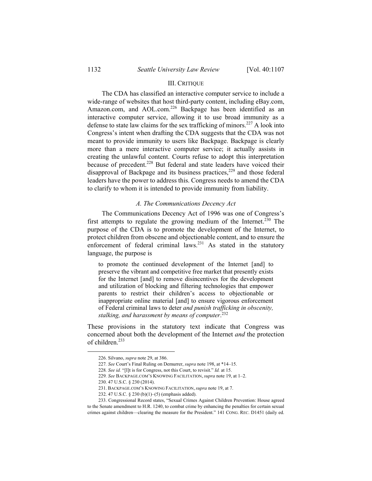### III. CRITIQUE

The CDA has classified an interactive computer service to include a wide-range of websites that host third-party content, including eBay.com, Amazon.com, and AOL.com.<sup>226</sup> Backpage has been identified as an interactive computer service, allowing it to use broad immunity as a defense to state law claims for the sex trafficking of minors.<sup>227</sup> A look into Congress's intent when drafting the CDA suggests that the CDA was not meant to provide immunity to users like Backpage. Backpage is clearly more than a mere interactive computer service; it actually assists in creating the unlawful content. Courts refuse to adopt this interpretation because of precedent.<sup>228</sup> But federal and state leaders have voiced their disapproval of Backpage and its business practices, $229$  and those federal leaders have the power to address this. Congress needs to amend the CDA to clarify to whom it is intended to provide immunity from liability.

## *A. The Communications Decency Act*

The Communications Decency Act of 1996 was one of Congress's first attempts to regulate the growing medium of the Internet.<sup>230</sup> The purpose of the CDA is to promote the development of the Internet, to protect children from obscene and objectionable content, and to ensure the enforcement of federal criminal  $laws.<sup>231</sup>$  As stated in the statutory language, the purpose is

to promote the continued development of the Internet [and] to preserve the vibrant and competitive free market that presently exists for the Internet [and] to remove disincentives for the development and utilization of blocking and filtering technologies that empower parents to restrict their children's access to objectionable or inappropriate online material [and] to ensure vigorous enforcement of Federal criminal laws to deter *and punish trafficking in obscenity, stalking, and harassment by means of computer*. 232

These provisions in the statutory text indicate that Congress was concerned about both the development of the Internet *and* the protection of children.<sup>233</sup>

 <sup>226.</sup> Silvano, *supra* note 29, at 386.

<sup>227</sup>*. See* Court's Final Ruling on Demurrer, *supra* note 198, at \*14–15.

<sup>228</sup>*. See id.* "[I]t is for Congress, not this Court, to revisit." *Id.* at 15.

<sup>229</sup>*. See* BACKPAGE.COM'S KNOWING FACILITATION, *supra* note 19, at 1–2.

 <sup>230. 47</sup> U.S.C. § 230 (2014).

 <sup>231.</sup> BACKPAGE.COM'S KNOWING FACILITATION, *supra* note 19, at 7.

 <sup>232. 47</sup> U.S.C. § 230 (b)(1)–(5) (emphasis added).

 <sup>233.</sup> Congressional Record states, "Sexual Crimes Against Children Prevention: House agreed to the Senate amendment to H.R. 1240, to combat crime by enhancing the penalties for certain sexual crimes against children—clearing the measure for the President." 141 CONG. REC. D1451 (daily ed.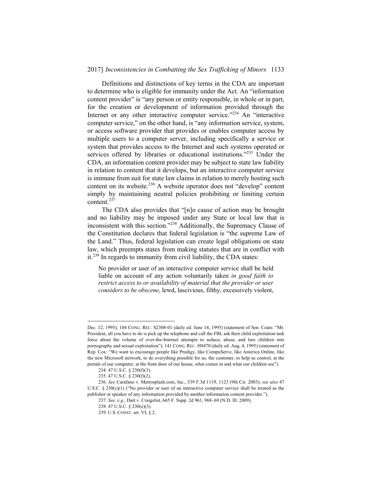### 2017] *Inconsistencies in Combatting the Sex Trafficking of Minors* 1133

Definitions and distinctions of key terms in the CDA are important to determine who is eligible for immunity under the Act. An "information content provider" is "any person or entity responsible, in whole or in part, for the creation or development of information provided through the Internet or any other interactive computer service."<sup>234</sup> An "interactive computer service," on the other hand, is "any information service, system, or access software provider that provides or enables computer access by multiple users to a computer server, including specifically a service or system that provides access to the Internet and such systems operated or services offered by libraries or educational institutions."<sup>235</sup> Under the CDA, an information content provider may be subject to state law liability in relation to content that it develops, but an interactive computer service is immune from suit for state law claims in relation to merely hosting such content on its website.<sup>236</sup> A website operator does not "develop" content simply by maintaining neutral policies prohibiting or limiting certain content.<sup>237</sup>

The CDA also provides that "[n]o cause of action may be brought and no liability may be imposed under any State or local law that is inconsistent with this section."238 Additionally, the Supremacy Clause of the Constitution declares that federal legislation is "the supreme Law of the Land." Thus, federal legislation can create legal obligations on state law, which preempts states from making statutes that are in conflict with it.239 In regards to immunity from civil liability, the CDA states:

No provider or user of an interactive computer service shall be held liable on account of any action voluntarily taken *in good faith to restrict access to or availability of material that the provider or user considers to be obscene*, lewd, lascivious, filthy, excessively violent,

Dec. 12, 1995); 104 CONG. REC. S2308-01 (daily ed. June 14, 1995) (statement of Sen. Coats: "Mr. President, all you have to do is pick up the telephone and call the FBI, ask their child exploitation task force about the volume of over-the-Internet attempts to seduce, abuse, and lure children into pornography and sexual exploitation"); 141 CONG. REC. H8470 (daily ed. Aug. 4, 1995) (statement of Rep. Cox: "We want to encourage people like Prodigy, like CompuServe, like America Online, like the new Microsoft network, to do everything possible for us, the customer, to help us control, at the portals of our computer, at the front door of our house, what comes in and what our children see").

 <sup>234. 47</sup> U.S.C. § 230(f)(3).

 <sup>235. 47</sup> U.S.C. § 230(f)(2).

<sup>236</sup>*. See* Carafano v. Metrosplash.com, Inc., 339 F.3d 1119, 1123 (9th Cir. 2003); *see also* 47 U.S.C. § 230(c)(1) ("No provider or user of an interactive computer service shall be treated as the publisher or speaker of any information provided by another information content provider.").

<sup>237</sup>*. See, e.g.*, Dart v. Craigslist, 665 F. Supp. 2d 961, 968–69 (N.D. Ill. 2009).

 <sup>238. 47</sup> U.S.C. § 230(e)(3).

 <sup>239.</sup> U.S. CONST. art. VI, § 2.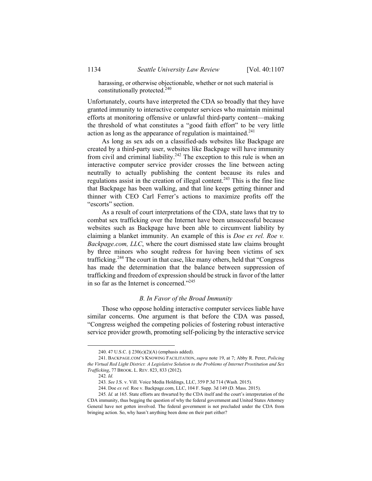harassing, or otherwise objectionable, whether or not such material is constitutionally protected.240

Unfortunately, courts have interpreted the CDA so broadly that they have granted immunity to interactive computer services who maintain minimal efforts at monitoring offensive or unlawful third-party content—making the threshold of what constitutes a "good faith effort" to be very little action as long as the appearance of regulation is maintained.<sup>241</sup>

As long as sex ads on a classified-ads websites like Backpage are created by a third-party user, websites like Backpage will have immunity from civil and criminal liability.<sup>242</sup> The exception to this rule is when an interactive computer service provider crosses the line between acting neutrally to actually publishing the content because its rules and regulations assist in the creation of illegal content.<sup>243</sup> This is the fine line that Backpage has been walking, and that line keeps getting thinner and thinner with CEO Carl Ferrer's actions to maximize profits off the "escorts" section.

As a result of court interpretations of the CDA, state laws that try to combat sex trafficking over the Internet have been unsuccessful because websites such as Backpage have been able to circumvent liability by claiming a blanket immunity. An example of this is *Doe ex rel. Roe v. Backpage.com, LLC*, where the court dismissed state law claims brought by three minors who sought redress for having been victims of sex trafficking.244 The court in that case, like many others, held that "Congress has made the determination that the balance between suppression of trafficking and freedom of expression should be struck in favor of the latter in so far as the Internet is concerned."245

### *B. In Favor of the Broad Immunity*

Those who oppose holding interactive computer services liable have similar concerns. One argument is that before the CDA was passed, "Congress weighed the competing policies of fostering robust interactive service provider growth, promoting self-policing by the interactive service

 <sup>240. 47</sup> U.S.C. § 230(c)(2)(A) (emphasis added).

 <sup>241.</sup> BACKPAGE.COM'S KNOWING FACILITATION, *supra* note 19, at 7; Abby R. Perer, *Policing the Virtual Red Light District: A Legislative Solution to the Problems of Internet Prostitution and Sex Trafficking*, 77 BROOK. L. REV. 823, 833 (2012).

<sup>242</sup>*. Id.*

<sup>243</sup>*. See* J.S. v. Vill. Voice Media Holdings, LLC, 359 P.3d 714 (Wash. 2015).

 <sup>244.</sup> Doe *ex rel.* Roe v. Backpage.com, LLC, 104 F. Supp. 3d 149 (D. Mass. 2015).

<sup>245</sup>*. Id.* at 165. State efforts are thwarted by the CDA itself and the court's interpretation of the CDA immunity, thus begging the question of why the federal government and United States Attorney General have not gotten involved. The federal government is not precluded under the CDA from bringing action. So, why hasn't anything been done on their part either?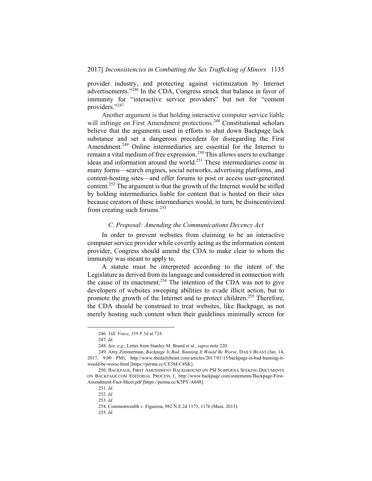provider industry, and protecting against victimization by Internet advertisements."<sup>246</sup> In the CDA, Congress struck that balance in favor of immunity for "interactive service providers" but not for "content providers."<sup>247</sup>

Another argument is that holding interactive computer service liable will infringe on First Amendment protections.<sup>248</sup> Constitutional scholars believe that the arguments used in efforts to shut down Backpage lack substance and set a dangerous precedent for disregarding the First Amendment.<sup>249</sup> Online intermediaries are essential for the Internet to remain a vital medium of free expression.<sup>250</sup> This allows users to exchange ideas and information around the world.251 These intermediaries come in many forms—search engines, social networks, advertising platforms, and content-hosting sites—and offer forums to post or access user-generated content.252 The argument is that the growth of the Internet would be stifled by holding intermediaries liable for content that is hosted on their sites because creators of these intermediaries would, in turn, be disincentivized from creating such forums.<sup>253</sup>

### *C. Proposal: Amending the Communications Decency Act*

In order to prevent websites from claiming to be an interactive computer service provider while covertly acting as the information content provider, Congress should amend the CDA to make clear to whom the immunity was meant to apply to.

A statute must be interpreted according to the intent of the Legislature as derived from its language and considered in connection with the cause of its enactment.<sup>254</sup> The intention of the CDA was not to give developers of websites sweeping abilities to evade illicit action, but to promote the growth of the Internet and to protect children.<sup>255</sup> Therefore, the CDA should be construed to treat websites, like Backpage, as not merely hosting such content when their guidelines minimally screen for

 <sup>246</sup>*. Vill. Voice*, 359 P.3d at 724.

<sup>247</sup>*. Id.*

<sup>248</sup>*. See, e.g.*, Letter from Stanley M. Brand et al., *supra* note 220.

 <sup>249.</sup> Amy Zimmerman, *Backpage Is Bad. Banning It Would Be Worse*, DAILY BEAST (Jan. 14, 2017, 9:00 PM), http://www.thedailybeast.com/articles/2017/01/15/backpage-is-bad-banning-itwould-be-worse.html [https://perma.cc/CE5M-C4SK].

 <sup>250.</sup> BACKPAGE, FIRST AMENDMENT BACKGROUND ON PSI SUBPOENA SEEKING DOCUMENTS ON BACKPAGE.COM EDITORIAL PROCESS 1, http://www.backpage.com/statements/Backpage-First-Amendment-Fact-Sheet.pdf [https://perma.cc/K5PY-A648].

<sup>251</sup>*. Id.*

<sup>252</sup>*. Id.*

<sup>253</sup>*. Id.*

 <sup>254.</sup> Commonwealth v. Figueroa, 982 N.E.2d 1173, 1176 (Mass. 2013).

<sup>255</sup>*. Id.*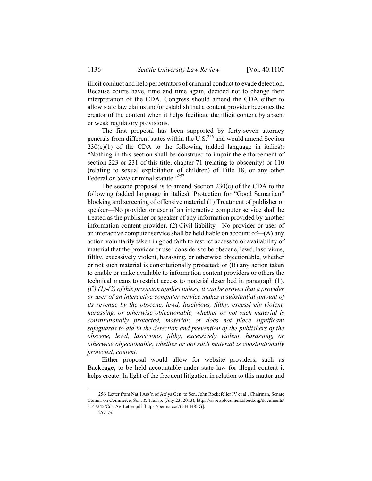illicit conduct and help perpetrators of criminal conduct to evade detection. Because courts have, time and time again, decided not to change their interpretation of the CDA, Congress should amend the CDA either to allow state law claims and/or establish that a content provider becomes the creator of the content when it helps facilitate the illicit content by absent or weak regulatory provisions.

The first proposal has been supported by forty-seven attorney generals from different states within the  $\mathrm{U.S.}^{256}$  and would amend Section  $230(e)(1)$  of the CDA to the following (added language in italics): "Nothing in this section shall be construed to impair the enforcement of section 223 or 231 of this title, chapter 71 (relating to obscenity) or 110 (relating to sexual exploitation of children) of Title 18, or any other Federal *or State* criminal statute."<sup>257</sup>

The second proposal is to amend Section  $230(c)$  of the CDA to the following (added language in italics): Protection for "Good Samaritan" blocking and screening of offensive material (1) Treatment of publisher or speaker—No provider or user of an interactive computer service shall be treated as the publisher or speaker of any information provided by another information content provider. (2) Civil liability—No provider or user of an interactive computer service shall be held liable on account of  $-(A)$  any action voluntarily taken in good faith to restrict access to or availability of material that the provider or user considers to be obscene, lewd, lascivious, filthy, excessively violent, harassing, or otherwise objectionable, whether or not such material is constitutionally protected; or (B) any action taken to enable or make available to information content providers or others the technical means to restrict access to material described in paragraph (1). *(C) (1)-(2) of this provision applies unless, it can be proven that a provider or user of an interactive computer service makes a substantial amount of its revenue by the obscene, lewd, lascivious, filthy, excessively violent, harassing, or otherwise objectionable, whether or not such material is constitutionally protected, material; or does not place significant safeguards to aid in the detection and prevention of the publishers of the obscene, lewd, lascivious, filthy, excessively violent, harassing, or otherwise objectionable, whether or not such material is constitutionally protected, content.*

Either proposal would allow for website providers, such as Backpage, to be held accountable under state law for illegal content it helps create. In light of the frequent litigation in relation to this matter and

 <sup>256.</sup> Letter from Nat'l Ass'n of Att'ys Gen. to Sen. John Rockefeller IV et al., Chairman, Senate Comm. on Commerce, Sci., & Transp. (July 23, 2013), https://assets.documentcloud.org/documents/ 3147245/Cda-Ag-Letter.pdf [https://perma.cc/76FH-H8FG].

<sup>257</sup>*. Id.*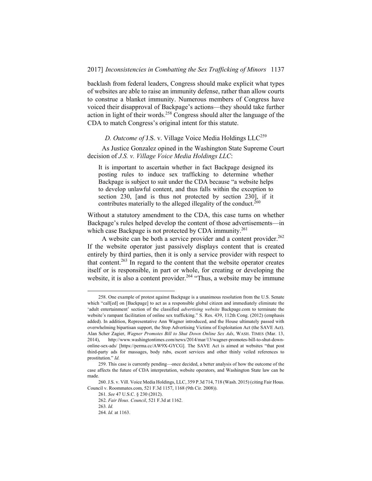backlash from federal leaders, Congress should make explicit what types of websites are able to raise an immunity defense, rather than allow courts to construe a blanket immunity. Numerous members of Congress have voiced their disapproval of Backpage's actions—they should take further action in light of their words.258 Congress should alter the language of the CDA to match Congress's original intent for this statute.

*D. Outcome of J.S. v. Village Voice Media Holdings LLC<sup>259</sup>* 

As Justice Gonzalez opined in the Washington State Supreme Court decision of *J.S. v. Village Voice Media Holdings LLC*:

It is important to ascertain whether in fact Backpage designed its posting rules to induce sex trafficking to determine whether Backpage is subject to suit under the CDA because "a website helps to develop unlawful content, and thus falls within the exception to section 230, [and is thus not protected by section 230], if it contributes materially to the alleged illegality of the conduct.<sup>260</sup>

Without a statutory amendment to the CDA, this case turns on whether Backpage's rules helped develop the content of those advertisements—in which case Backpage is not protected by CDA immunity.<sup>261</sup>

A website can be both a service provider and a content provider.<sup>262</sup> If the website operator just passively displays content that is created entirely by third parties, then it is only a service provider with respect to that content.<sup>263</sup> In regard to the content that the website operator creates itself or is responsible, in part or whole, for creating or developing the website, it is also a content provider.<sup>264</sup> "Thus, a website may be immune

 <sup>258.</sup> One example of protest against Backpage is a unanimous resolution from the U.S. Senate which "call[ed] on [Backpage] to act as a responsible global citizen and immediately eliminate the 'adult entertainment' section of the classified *advertising website* Backpage.com to terminate the website's rampant facilitation of online sex trafficking." S. Res. 439, 112th Cong. (2012) (emphasis added). In addition, Representative Ann Wagner introduced, and the House ultimately passed with overwhelming bipartisan support, the Stop Advertising Victims of Exploitation Act (the SAVE Act). Alan Scher Zagier, *Wagner Promotes Bill to Shut Down Online Sex Ads*, WASH. TIMES (Mar. 13, 2014), http://www.washingtontimes.com/news/2014/mar/13/wagner-promotes-bill-to-shut-downonline-sex-ads/ [https://perma.cc/AW9X-GYCG]. The SAVE Act is aimed at websites "that post third-party ads for massages, body rubs, escort services and other thinly veiled references to prostitution." *Id.*

 <sup>259.</sup> This case is currently pending—once decided, a better analysis of how the outcome of the case affects the future of CDA interpretation, website operators, and Washington State law can be made.

 <sup>260.</sup> J.S. v. Vill. Voice Media Holdings, LLC, 359 P.3d 714, 718 (Wash. 2015) (citing Fair Hous. Council v. Roommates.com, 521 F.3d 1157, 1168 (9th Cir. 2008)).

<sup>261</sup>*. See* 47 U.S.C. § 230 (2012).

<sup>262</sup>*. Fair Hous. Council*, 521 F.3d at 1162.

<sup>263</sup>*. Id.*

<sup>264</sup>*. Id.* at 1163.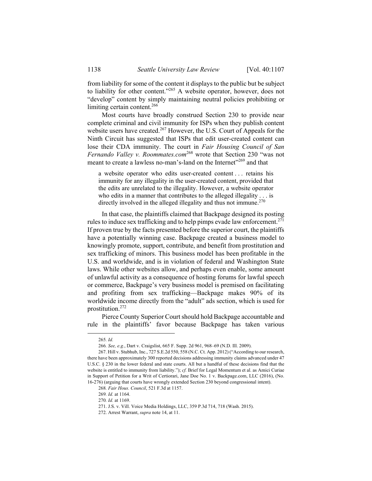from liability for some of the content it displays to the public but be subject to liability for other content."<sup>265</sup> A website operator, however, does not "develop" content by simply maintaining neutral policies prohibiting or limiting certain content.<sup>266</sup>

Most courts have broadly construed Section 230 to provide near complete criminal and civil immunity for ISPs when they publish content website users have created.<sup>267</sup> However, the U.S. Court of Appeals for the Ninth Circuit has suggested that ISPs that edit user-created content can lose their CDA immunity. The court in *Fair Housing Council of San Fernando Valley v. Roommates.com*<sup>268</sup> wrote that Section 230 "was not meant to create a lawless no-man's-land on the Internet<sup>"269</sup> and that

a website operator who edits user-created content . . . retains his immunity for any illegality in the user-created content, provided that the edits are unrelated to the illegality. However, a website operator who edits in a manner that contributes to the alleged illegality . . . is directly involved in the alleged illegality and thus not immune.<sup>270</sup>

In that case, the plaintiffs claimed that Backpage designed its posting rules to induce sex trafficking and to help pimps evade law enforcement.<sup>271</sup> If proven true by the facts presented before the superior court, the plaintiffs have a potentially winning case. Backpage created a business model to knowingly promote, support, contribute, and benefit from prostitution and sex trafficking of minors. This business model has been profitable in the U.S. and worldwide, and is in violation of federal and Washington State laws. While other websites allow, and perhaps even enable, some amount of unlawful activity as a consequence of hosting forums for lawful speech or commerce, Backpage's very business model is premised on facilitating and profiting from sex trafficking—Backpage makes 90% of its worldwide income directly from the "adult" ads section, which is used for prostitution.272

Pierce County Superior Court should hold Backpage accountable and rule in the plaintiffs' favor because Backpage has taken various

 <sup>265</sup>*. Id.*

<sup>266</sup>*. See, e.g.*, Dart v. Craigslist, 665 F. Supp. 2d 961, 968–69 (N.D. Ill. 2009).

 <sup>267.</sup> Hill v. Stubhub, Inc., 727 S.E.2d 550, 558 (N.C. Ct. App. 2012) ("According to our research, there have been approximately 300 reported decisions addressing immunity claims advanced under 47 U.S.C. § 230 in the lower federal and state courts. All but a handful of these decisions find that the website is entitled to immunity from liability."); *cf.* Brief for Legal Momentum et al. as Amici Curiae in Support of Petition for a Writ of Certiorari, Jane Doe No. 1 v. Backpage.com, LLC (2016), (No. 16-276) (arguing that courts have wrongly extended Section 230 beyond congressional intent).

<sup>268</sup>*. Fair Hous. Council*, 521 F.3d at 1157.

<sup>269</sup>*. Id.* at 1164.

<sup>270</sup>*. Id.* at 1169.

 <sup>271.</sup> J.S. v. Vill. Voice Media Holdings, LLC, 359 P.3d 714, 718 (Wash. 2015).

 <sup>272.</sup> Arrest Warrant, *supra* note 14, at 11.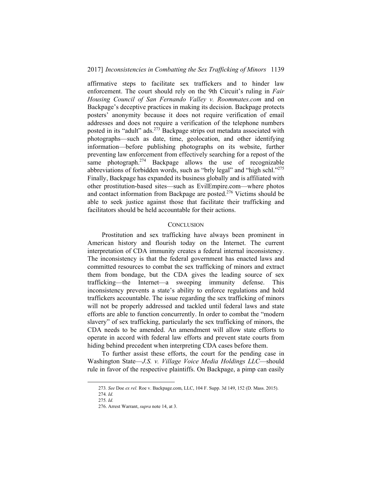affirmative steps to facilitate sex traffickers and to hinder law enforcement. The court should rely on the 9th Circuit's ruling in *Fair Housing Council of San Fernando Valley v. Roommates.com* and on Backpage's deceptive practices in making its decision. Backpage protects posters' anonymity because it does not require verification of email addresses and does not require a verification of the telephone numbers posted in its "adult" ads.<sup>273</sup> Backpage strips out metadata associated with photographs—such as date, time, geolocation, and other identifying information—before publishing photographs on its website, further preventing law enforcement from effectively searching for a repost of the same photograph.<sup>274</sup> Backpage allows the use of recognizable abbreviations of forbidden words, such as "brly legal" and "high schl."275 Finally, Backpage has expanded its business globally and is affiliated with other prostitution-based sites—such as EvilEmpire.com—where photos and contact information from Backpage are posted.<sup>276</sup> Victims should be able to seek justice against those that facilitate their trafficking and facilitators should be held accountable for their actions.

## **CONCLUSION**

Prostitution and sex trafficking have always been prominent in American history and flourish today on the Internet. The current interpretation of CDA immunity creates a federal internal inconsistency. The inconsistency is that the federal government has enacted laws and committed resources to combat the sex trafficking of minors and extract them from bondage, but the CDA gives the leading source of sex trafficking—the Internet—a sweeping immunity defense. This inconsistency prevents a state's ability to enforce regulations and hold traffickers accountable. The issue regarding the sex trafficking of minors will not be properly addressed and tackled until federal laws and state efforts are able to function concurrently. In order to combat the "modern slavery" of sex trafficking, particularly the sex trafficking of minors, the CDA needs to be amended. An amendment will allow state efforts to operate in accord with federal law efforts and prevent state courts from hiding behind precedent when interpreting CDA cases before them.

To further assist these efforts, the court for the pending case in Washington State—*J.S. v. Village Voice Media Holdings LLC*—should rule in favor of the respective plaintiffs. On Backpage, a pimp can easily

 <sup>273</sup>*. See* Doe *ex rel.* Roe v. Backpage.com, LLC, 104 F. Supp. 3d 149, 152 (D. Mass. 2015). 274*. Id.* 

<sup>275</sup>*. Id.*

 <sup>276.</sup> Arrest Warrant, *supra* note 14, at 3.